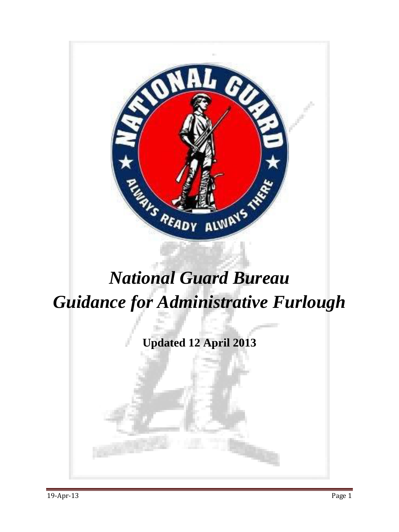

# *National Guard Bureau Guidance for Administrative Furlough*

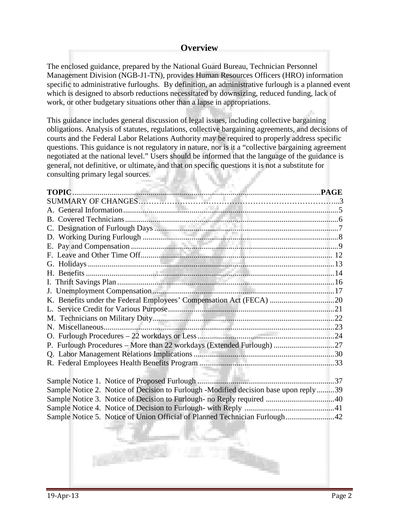# **Overview**

The enclosed guidance, prepared by the National Guard Bureau, Technician Personnel Management Division (NGB-J1-TN), provides Human Resources Officers (HRO) information specific to administrative furloughs. By definition, an administrative furlough is a planned event which is designed to absorb reductions necessitated by downsizing, reduced funding, lack of work, or other budgetary situations other than a lapse in appropriations.

This guidance includes general discussion of legal issues, including collective bargaining obligations. Analysis of statutes, regulations, collective bargaining agreements, and decisions of courts and the Federal Labor Relations Authority may be required to properly address specific questions. This guidance is not regulatory in nature, nor is it a "collective bargaining agreement negotiated at the national level." Users should be informed that the language of the guidance is general, not definitive, or ultimate, and that on specific questions it is not a substitute for consulting primary legal sources.

| K. Benefits under the Federal Employees' Compensation Act (FECA) 20                  |  |
|--------------------------------------------------------------------------------------|--|
|                                                                                      |  |
|                                                                                      |  |
|                                                                                      |  |
|                                                                                      |  |
| P. Furlough Procedures – More than 22 workdays (Extended Furlough) 27                |  |
|                                                                                      |  |
|                                                                                      |  |
|                                                                                      |  |
|                                                                                      |  |
| Sample Notice 2. Notice of Decision to Furlough -Modified decision base upon reply39 |  |
|                                                                                      |  |
|                                                                                      |  |
| Sample Notice 5. Notice of Union Official of Planned Technician Furlough42           |  |

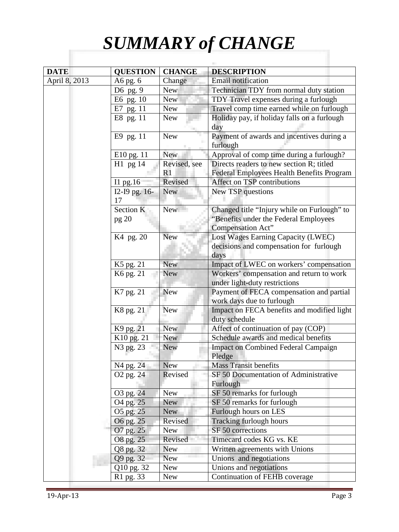# *SUMMARY of CHANGE*

| <b>DATE</b>   | <b>QUESTION</b>       | <b>CHANGE</b> | <b>DESCRIPTION</b>                                                                                         |
|---------------|-----------------------|---------------|------------------------------------------------------------------------------------------------------------|
| April 8, 2013 | A6 pg. 6              | Change        | Email notification                                                                                         |
|               | D6 pg. 9              | <b>New</b>    | Technician TDY from normal duty station                                                                    |
|               | E6 pg. 10             | <b>New</b>    | TDY Travel expenses during a furlough                                                                      |
|               | E7 pg. 11             | <b>New</b>    | Travel comp time earned while on furlough                                                                  |
|               | E8 pg. 11             | <b>New</b>    | Holiday pay, if holiday falls on a furlough                                                                |
|               |                       |               | day                                                                                                        |
|               | E9 pg. 11             | <b>New</b>    | Payment of awards and incentives during a<br>furlough                                                      |
|               | E10 pg. 11            | <b>New</b>    | Approval of comp time during a furlough?                                                                   |
|               | $H1$ pg 14            | Revised, see  | Directs readers to new section R; titled                                                                   |
|               |                       | R1            | Federal Employees Health Benefits Program                                                                  |
|               | Il pg. $16$           | Revised       | Affect on TSP contributions                                                                                |
|               | I2-I9 pg. 16-<br>17   | <b>New</b>    | New TSP questions                                                                                          |
|               | Section K<br>pg 20    | New           | Changed title "Injury while on Furlough" to<br>"Benefits under the Federal Employees"<br>Compensation Act" |
|               | K4 pg. 20             | <b>New</b>    | Lost Wages Earning Capacity (LWEC)<br>decisions and compensation for furlough<br>days                      |
|               | K5 pg. 21             | <b>New</b>    | Impact of LWEC on workers' compensation                                                                    |
|               | K6 pg. 21             | <b>New</b>    | Workers' compensation and return to work                                                                   |
|               |                       |               | under light-duty restrictions                                                                              |
|               | K7 pg. 21             | <b>New</b>    | Payment of FECA compensation and partial                                                                   |
|               |                       |               | work days due to furlough                                                                                  |
|               | K8 pg. 21             | <b>New</b>    | Impact on FECA benefits and modified light<br>duty schedule                                                |
|               | K9 pg. 21             | <b>New</b>    | Affect of continuation of pay (COP)                                                                        |
|               | K10 pg. 21            | <b>New</b>    | Schedule awards and medical benefits                                                                       |
|               | N <sub>3</sub> pg. 23 | <b>New</b>    | <b>Impact on Combined Federal Campaign</b><br>Pledge                                                       |
|               | N4 pg. 24             | <b>New</b>    | <b>Mass Transit benefits</b>                                                                               |
|               | O <sub>2</sub> pg. 24 | Revised       | SF 50 Documentation of Administrative<br>Furlough                                                          |
|               | O3 pg. 24             | <b>New</b>    | SF 50 remarks for furlough                                                                                 |
|               | O <sub>4</sub> pg. 25 | <b>New</b>    | SF 50 remarks for furlough                                                                                 |
|               | O5 pg. 25             | <b>New</b>    | Furlough hours on LES                                                                                      |
|               | O6 pg. 25             | Revised       | Tracking furlough hours                                                                                    |
|               | O7 pg. 25             | <b>New</b>    | SF 50 corrections                                                                                          |
|               | O8 pg. 25             | Revised       | Timecard codes KG vs. KE                                                                                   |
|               | Q8 pg. 32             | <b>New</b>    | Written agreements with Unions                                                                             |
|               | Q9 pg. 32             | <b>New</b>    | Unions and negotiations                                                                                    |
|               | Q10 pg. 32            | New           | Unions and negotiations                                                                                    |
|               | R1 pg. 33             | <b>New</b>    | Continuation of FEHB coverage                                                                              |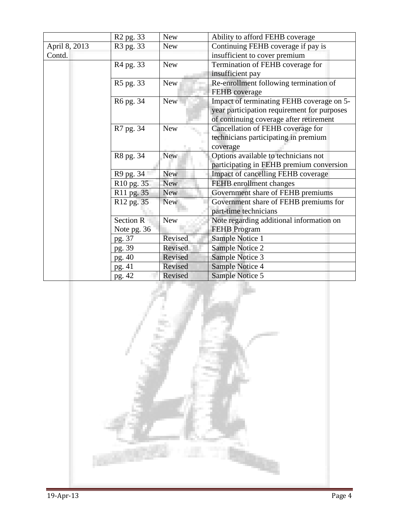|               | R <sub>2</sub> pg. 33  | <b>New</b> | Ability to afford FEHB coverage             |
|---------------|------------------------|------------|---------------------------------------------|
| April 8, 2013 | R <sub>3</sub> pg. 33  | <b>New</b> | Continuing FEHB coverage if pay is          |
| Contd.        |                        |            | insufficient to cover premium               |
|               | R <sub>4</sub> pg. 33  | <b>New</b> | Termination of FEHB coverage for            |
|               |                        |            | insufficient pay                            |
|               | R5 pg. 33              | <b>New</b> | Re-enrollment following termination of      |
|               |                        |            | FEHB coverage                               |
|               | R6 pg. 34              | <b>New</b> | Impact of terminating FEHB coverage on 5-   |
|               |                        |            | year participation requirement for purposes |
|               |                        |            | of continuing coverage after retirement     |
|               | R7 pg. 34              | <b>New</b> | Cancellation of FEHB coverage for           |
|               |                        |            | technicians participating in premium        |
|               |                        |            | coverage                                    |
|               | R8 pg. 34              | <b>New</b> | Options available to technicians not        |
|               |                        |            | participating in FEHB premium conversion    |
|               | R9 pg. 34              | <b>New</b> | Impact of cancelling FEHB coverage          |
|               | R <sub>10</sub> pg. 35 | <b>New</b> | FEHB enrollment changes                     |
|               | R <sub>11</sub> pg. 35 | <b>New</b> | Government share of FEHB premiums           |
|               | R <sub>12</sub> pg. 35 | <b>New</b> | Government share of FEHB premiums for       |
|               |                        |            | part-time technicians                       |
|               | Section R              | <b>New</b> | Note regarding additional information on    |
|               | Note pg. 36            |            | <b>FEHB</b> Program                         |
|               | pg. 37                 | Revised    | Sample Notice 1                             |
|               | pg. 39                 | Revised    | Sample Notice 2                             |
|               | pg. 40                 | Revised    | Sample Notice 3                             |
|               | pg. 41                 | Revised    | Sample Notice 4                             |
|               | pg. 42                 | Revised    | Sample Notice 5                             |

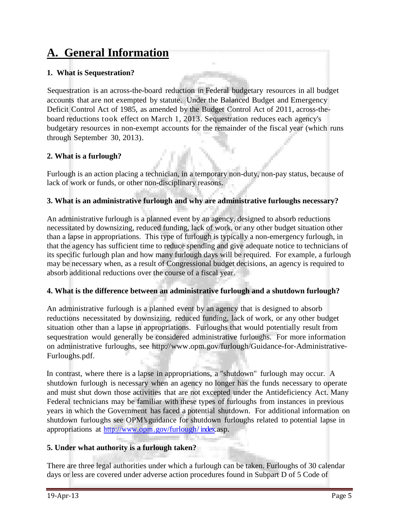# **A. General Information**

# **1. What is Sequestration?**

Sequestration is an across-the-board reduction in Federal budgetary resources in all budget accounts that are not exempted by statute. Under the Balanced Budget and Emergency Deficit Control Act of 1985, as amended by the Budget Control Act of 2011, across-theboard reductions took effect on March 1, 2013. Sequestration reduces each agency's budgetary resources in non-exempt accounts for the remainder of the fiscal year (which runs through September 30, 2013).

# **2. What is a furlough?**

Furlough is an action placing a technician, in a temporary non-duty, non-pay status, because of lack of work or funds, or other non-disciplinary reasons.

# **3. What is an administrative furlough and why are administrative furloughs necessary?**

An administrative furlough is a planned event by an agency, designed to absorb reductions necessitated by downsizing, reduced funding, lack of work, or any other budget situation other than a lapse in appropriations. This type of furlough is typically a non-emergency furlough, in that the agency has sufficient time to reduce spending and give adequate notice to technicians of its specific furlough plan and how many furlough days will be required. For example, a furlough may be necessary when, as a result of Congressional budget decisions, an agency is required to absorb additional reductions over the course of a fiscal year.

# **4. What is the difference between an administrative furlough and a shutdown furlough?**

An administrative furlough is a planned event by an agency that is designed to absorb reductions necessitated by downsizing, reduced funding, lack of work, or any other budget situation other than a lapse in appropriations. Furloughs that would potentially result from sequestration would generally be considered administrative furloughs. For more information on administrative furloughs, see [http://www.opm.gov/furlough/Guidance-for-Administrative-](http://www.opm.gov/furlough/Guidance-for-Administrative)Furloughs.pdf.

In contrast, where there is a lapse in appropriations, a "shutdown" furlough may occur. A shutdown furlough is necessary when an agency no longer has the funds necessary to operate and must shut down those activities that are not excepted under the Antideficiency Act. Many Federal technicians may be familiar with these types of furloughs from instances in previous years in which the Government has faced a potential shutdown. For additional information on shutdown furloughs see OPM'sguidance for shutdown furloughs related to potential lapse in appropriations at http://www.opm.gov/furlough/ index.asp.

# **5. Under what authority is a furlough taken?**

There are three legal authorities under which a furlough can be taken. Furloughs of 30 calendar days or less are covered under adverse action procedures found in Subpart D of 5 Code of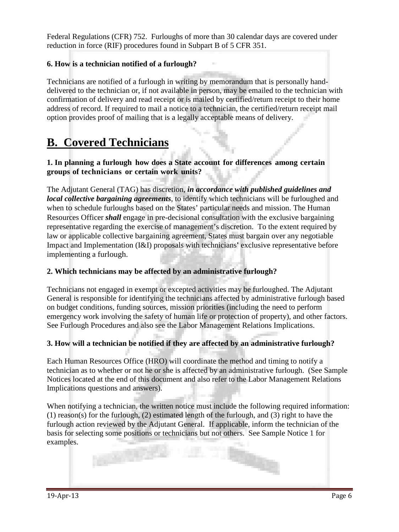Federal Regulations (CFR) 752. Furloughs of more than 30 calendar days are covered under reduction in force (RIF) procedures found in Subpart B of 5 CFR 351.

# **6. How is a technician notified of a furlough?**

Technicians are notified of a furlough in writing by memorandum that is personally handdelivered to the technician or, if not available in person, may be emailed to the technician with confirmation of delivery and read receipt or is mailed by certified/return receipt to their home address of record. If required to mail a notice to a technician, the certified/return receipt mail option provides proof of mailing that is a legally acceptable means of delivery.

# **B. Covered Technicians**

# **1. In planning a furlough how does a State account for differences among certain groups of technicians or certain work units?**

The Adjutant General (TAG) has discretion, *in accordance with published guidelines and local collective bargaining agreements*, to identify which technicians will be furloughed and when to schedule furloughs based on the States' particular needs and mission. The Human Resources Officer *shall* engage in pre-decisional consultation with the exclusive bargaining representative regarding the exercise of management's discretion. To the extent required by law or applicable collective bargaining agreement, States must bargain over any negotiable Impact and Implementation (I&I) proposals with technicians' exclusive representative before implementing a furlough.

#### **2. Which technicians may be affected by an administrative furlough?**

Technicians not engaged in exempt or excepted activities may be furloughed. The Adjutant General is responsible for identifying the technicians affected by administrative furlough based on budget conditions, funding sources, mission priorities (including the need to perform emergency work involving the safety of human life or protection of property), and other factors. See Furlough Procedures and also see the Labor Management Relations Implications.

#### **3. How will a technician be notified if they are affected by an administrative furlough?**

Each Human Resources Office (HRO) will coordinate the method and timing to notify a technician as to whether or not he or she is affected by an administrative furlough. (See Sample Notices located at the end of this document and also refer to the Labor Management Relations Implications questions and answers).

When notifying a technician, the written notice must include the following required information: (1) reason(s) for the furlough, (2) estimated length of the furlough, and (3) right to have the furlough action reviewed by the Adjutant General. If applicable, inform the technician of the basis for selecting some positions or technicians but not others. See Sample Notice 1 for examples.

**CONTRACTOR**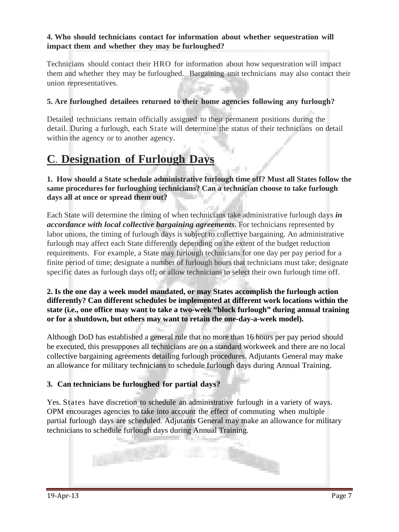### **4. Who should technicians contact for information about whether sequestration will impact them and whether they may be furloughed?**

Technicians should contact their HRO for information about how sequestration will impact them and whether they may be furloughed. Bargaining unit technicians may also contact their union representatives.

# **5. Are furloughed detailees returned to their home agencies following any furlough?**

Detailed technicians remain officially assigned to their permanent positions during the detail. During a furlough, each State will determine the status of their technicians on detail within the agency or to another agency.

# **C. Designation of Furlough Days**

#### **1. How should a State schedule administrative furlough time off? Must all States follow the same procedures for furloughing technicians? Can a technician choose to take furlough days all at once or spread them out?**

Each State will determine the timing of when technicians take administrative furlough days *in accordance with local collective bargaining agreements*. For technicians represented by labor unions, the timing of furlough days is subject to collective bargaining. An administrative furlough may affect each State differently depending on the extent of the budget reduction requirements. For example, a State may furlough technicians for one day per pay period for a finite period of time; designate a number of furlough hours that technicians must take; designate specific dates as furlough days off; or allow technicians to select their own furlough time off.

# **2. Is the one day a week model mandated, or may States accomplish the furlough action differently? Can different schedules be implemented at different work locations within the state (i.e., one office may want to take a two-week "block furlough" during annual training or for a shutdown, but others may want to retain the one-day-a-week model).**

Although DoD has established a general rule that no more than 16 hours per pay period should be executed, this presupposes all technicians are on a standard workweek and there are no local collective bargaining agreements detailing furlough procedures. Adjutants General may make an allowance for military technicians to schedule furlough days during Annual Training.

# **3. Can technicians be furloughed for partial days?**

Yes. States have discretion to schedule an administrative furlough in a variety of ways. OPM encourages agencies to take into account the effect of commuting when multiple partial furlough days are scheduled. Adjutants General may make an allowance for military technicians to schedule furlough days during Annual Training.

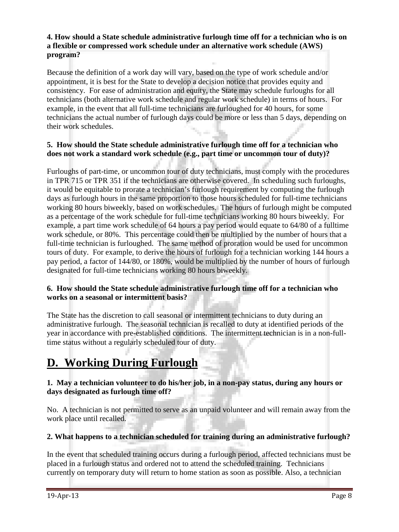# **4. How should a State schedule administrative furlough time off for a technician who is on a flexible or compressed work schedule under an alternative work schedule (AWS) program?**

Because the definition of a work day will vary, based on the type of work schedule and/or appointment, it is best for the State to develop a decision notice that provides equity and consistency. For ease of administration and equity, the State may schedule furloughs for all technicians (both alternative work schedule and regular work schedule) in terms of hours. For example, in the event that all full-time technicians are furloughed for 40 hours, for some technicians the actual number of furlough days could be more or less than 5 days, depending on their work schedules.

### **5. How should the State schedule administrative furlough time off for a technician who does not work a standard work schedule (e.g., part time or uncommon tour of duty)?**

Furloughs of part-time, or uncommon tour of duty technicians, must comply with the procedures in TPR 715 or TPR 351 if the technicians are otherwise covered. In scheduling such furloughs, it would be equitable to prorate a technician's furlough requirement by computing the furlough days as furlough hours in the same proportion to those hours scheduled for full-time technicians working 80 hours biweekly, based on work schedules. The hours of furlough might be computed as a percentage of the work schedule for full-time technicians working 80 hours biweekly. For example, a part time work schedule of 64 hours a pay period would equate to 64/80 of a fulltime work schedule, or 80%. This percentage could then be multiplied by the number of hours that a full-time technician is furloughed. The same method of proration would be used for uncommon tours of duty. For example, to derive the hours of furlough for a technician working 144 hours a pay period, a factor of 144/80, or 180%, would be multiplied by the number of hours of furlough designated for full-time technicians working 80 hours biweekly.

# **6. How should the State schedule administrative furlough time off for a technician who works on a seasonal or intermittent basis?**

The State has the discretion to call seasonal or intermittent technicians to duty during an administrative furlough. The seasonal technician is recalled to duty at identified periods of the year in accordance with pre-established conditions. The intermittent technician is in a non-fulltime status without a regularly scheduled tour of duty.

# **D. Working During Furlough**

### **1. May a technician volunteer to do his/her job, in a non-pay status, during any hours or days designated as furlough time off?**

No. A technician is not permitted to serve as an unpaid volunteer and will remain away from the work place until recalled.

# **2. What happens to a technician scheduled for training during an administrative furlough?**

In the event that scheduled training occurs during a furlough period, affected technicians must be placed in a furlough status and ordered not to attend the scheduled training. Technicians currently on temporary duty will return to home station as soon as possible. Also, a technician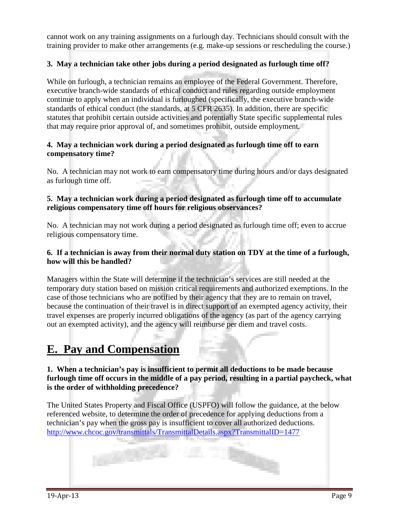cannot work on any training assignments on a furlough day. Technicians should consult with the training provider to make other arrangements (e.g. make-up sessions or rescheduling the course.)

# **3. May a technician take other jobs during a period designated as furlough time off?**

While on furlough, a technician remains an employee of the Federal Government. Therefore, executive branch-wide standards of ethical conduct and rules regarding outside employment continue to apply when an individual is furloughed (specifically, the executive branch-wide standards of ethical conduct (the standards, at 5 CFR 2635). In addition, there are specific statutes that prohibit certain outside activities and potentially State specific supplemental rules that may require prior approval of, and sometimes prohibit, outside employment.

### **4. May a technician work during a period designated as furlough time off to earn compensatory time?**

No. A technician may not work to earn compensatory time during hours and/or days designated as furlough time off.

### **5. May a technician work during a period designated as furlough time off to accumulate religious compensatory time off hours for religious observances?**

No. A technician may not work during a period designated as furlough time off; even to accrue religious compensatory time.

#### **6. If a technician is away from their normal duty station on TDY at the time of a furlough, how will this be handled?**

Managers within the State will determine if the technician's services are still needed at the temporary duty station based on mission critical requirements and authorized exemptions. In the case of those technicians who are notified by their agency that they are to remain on travel, because the continuation of their travel is in direct support of an exempted agency activity, their travel expenses are properly incurred obligations of the agency (as part of the agency carrying out an exempted activity), and the agency will reimburse per diem and travel costs.

# **E. Pay and Compensation**

# **1. When a technician's pay is insufficient to permit all deductions to be made because furlough time off occurs in the middle of a pay period, resulting in a partial paycheck, what is the order of withholding precedence?**

The United States Property and Fiscal Office (USPFO) will follow the guidance, at the below referenced website, to determine the order of precedence for applying deductions from a technician's pay when the gross pay is insufficient to cover all authorized deductions. http://www.chcoc.gov/transmittals/TransmittalDetails.aspx?TransmittalID=1477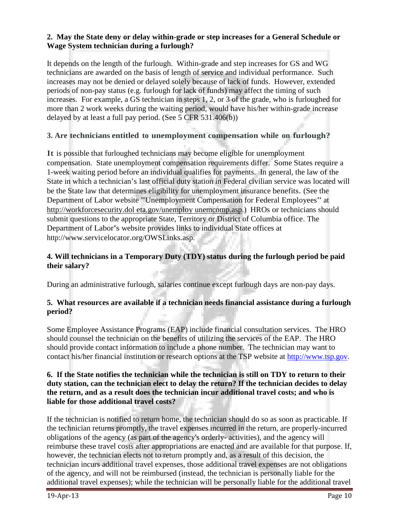### **2. May the State deny or delay within-grade or step increases for a General Schedule or Wage System technician during a furlough?**

It depends on the length of the furlough. Within-grade and step increases for GS and WG technicians are awarded on the basis of length of service and individual performance. Such increases may not be denied or delayed solely because of lack of funds. However, extended periods of non-pay status (e.g. furlough for lack of funds) may affect the timing of such increases. For example, a GS technician in steps 1, 2, or 3 of the grade, who is furloughed for more than 2 work weeks during the waiting period, would have his/her within-grade increase delayed by at least a full pay period. (See 5 CFR 531.406(b))

# **3. Are technicians entitled to unemployment compensation while on furlough?**

It is possible that furloughed technicians may become eligible for unemployment compensation. State unemployment compensation requirements differ. Some States require a 1-week waiting period before an individual qualifies for payments. In general, the law of the State in which a technician's last official duty station in Federal civilian service was located will be the State law that determines eligibility for unemployment insurance benefits. (See the Department of Labor website "Unemployment Compensation for Federal Employees" at [http://workforcesecurity.dol](http://workforcesecurity.dol/) eta.gov/unemploy unemcomp.asp.) HROs or technicians should submit questions to the appropriate State, Territory or District of Columbia office. The Department of Labor's website provides links to individual State offices at [http://www.servicelocator.org/OWSLinks.asp.](http://www.servicelocator.org/OWSLinks.asp)

# **4. Will technicians in a Temporary Duty (TDY) status during the furlough period be paid their salary?**

During an administrative furlough, salaries continue except furlough days are non-pay days.

### **5. What resources are available if a technician needs financial assistance during a furlough period?**

Some Employee Assistance Programs (EAP) include financial consultation services. The HRO should counsel the technician on the benefits of utilizing the services of the EAP. The HRO should provide contact information to include a phone number. The technician may want to contact his/her financial institution or research options at the TSP website at [http://www.tsp.gov.](http://www.tsp.gov/)

#### **6. If the State notifies the technician while the technician is still on TDY to return to their duty station, can the technician elect to delay the return? If the technician decides to delay the return, and as a result does the technician incur additional travel costs; and who is liable for those additional travel costs?**

If the technician is notified to return home, the technician should do so as soon as practicable. If the technician returns promptly, the travel expenses incurred in the return, are properly-incurred obligations of the agency (as part of the agency's orderly- activities), and the agency will reimburse these travel costs after appropriations are enacted and are available for that purpose. If, however, the technician elects not to return promptly and, as a result of this decision, the technician incurs additional travel expenses, those additional travel expenses are not obligations of the agency, and will not be reimbursed (instead, the technician is personally liable for the additional travel expenses); while the technician will be personally liable for the additional travel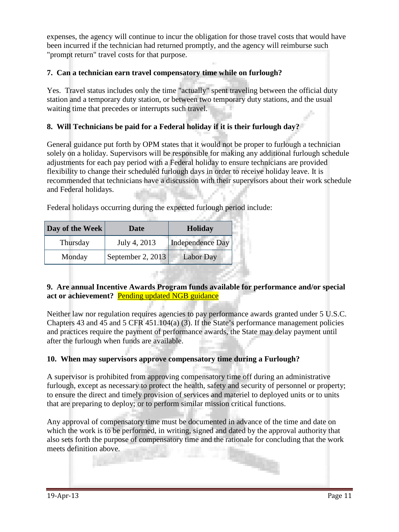expenses, the agency will continue to incur the obligation for those travel costs that would have been incurred if the technician had returned promptly, and the agency will reimburse such "prompt return" travel costs for that purpose.

# **7. Can a technician earn travel compensatory time while on furlough?**

Yes. Travel status includes only the time "actually" spent traveling between the official duty station and a temporary duty station, or between two temporary duty stations, and the usual waiting time that precedes or interrupts such travel.

### **8. Will Technicians be paid for a Federal holiday if it is their furlough day?**

General guidance put forth by OPM states that it would not be proper to furlough a technician solely on a holiday. Supervisors will be responsible for making any additional furlough schedule adjustments for each pay period with a Federal holiday to ensure technicians are provided flexibility to change their scheduled furlough days in order to receive holiday leave. It is recommended that technicians have a discussion with their supervisors about their work schedule and Federal holidays.

Federal holidays occurring during the expected furlough period include:

| Day of the Week | <b>Date</b>       | <b>Holiday</b>   |
|-----------------|-------------------|------------------|
| Thursday        | July 4, 2013      | Independence Day |
| Monday          | September 2, 2013 | <b>Labor Day</b> |

#### **9. Are annual Incentive Awards Program funds available for performance and/or special act or achievement?** Pending updated NGB guidance

Neither law nor regulation requires agencies to pay performance awards granted under 5 U.S.C. Chapters 43 and 45 and 5 CFR 451.104(a) (3). If the State's performance management policies and practices require the payment of performance awards, the State may delay payment until after the furlough when funds are available.

#### **10. When may supervisors approve compensatory time during a Furlough?**

A supervisor is prohibited from approving compensatory time off during an administrative furlough, except as necessary to protect the health, safety and security of personnel or property; to ensure the direct and timely provision of services and materiel to deployed units or to units that are preparing to deploy; or to perform similar mission critical functions.

Any approval of compensatory time must be documented in advance of the time and date on which the work is to be performed, in writing, signed and dated by the approval authority that also sets forth the purpose of compensatory time and the rationale for concluding that the work meets definition above.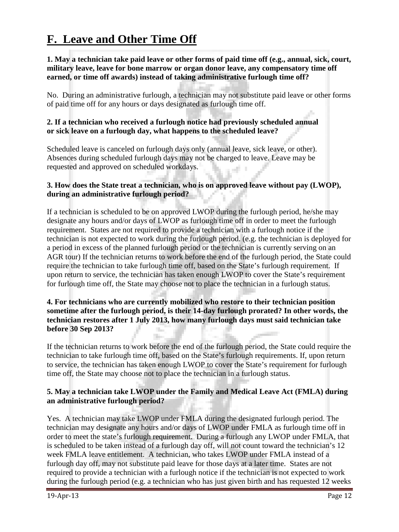# **F. Leave and Other Time Off**

#### **1. May a technician take paid leave or other forms of paid time off (e.g., annual, sick, court, military leave, leave for bone marrow or organ donor leave, any compensatory time off earned, or time off awards) instead of taking administrative furlough time off?**

No. During an administrative furlough, a technician may not substitute paid leave or other forms of paid time off for any hours or days designated as furlough time off.

#### **2. If a technician who received a furlough notice had previously scheduled annual or sick leave on a furlough day, what happens to the scheduled leave?**

Scheduled leave is canceled on furlough days only (annual leave, sick leave, or other). Absences during scheduled furlough days may not be charged to leave. Leave may be requested and approved on scheduled workdays.

# **3. How does the State treat a technician, who is on approved leave without pay (LWOP), during an administrative furlough period?**

If a technician is scheduled to be on approved LWOP during the furlough period, he/she may designate any hours and/or days of LWOP as furlough time off in order to meet the furlough requirement. States are not required to provide a technician with a furlough notice if the technician is not expected to work during the furlough period. (e.g. the technician is deployed for a period in excess of the planned furlough period or the technician is currently serving on an AGR tour) If the technician returns to work before the end of the furlough period, the State could require the technician to take furlough time off, based on the State's furlough requirement. If upon return to service, the technician has taken enough LWOP to cover the State's requirement for furlough time off, the State may choose not to place the technician in a furlough status.

# **4. For technicians who are currently mobilized who restore to their technician position sometime after the furlough period, is their 14-day furlough prorated? In other words, the technician restores after 1 July 2013, how many furlough days must said technician take before 30 Sep 2013?**

If the technician returns to work before the end of the furlough period, the State could require the technician to take furlough time off, based on the State's furlough requirements. If, upon return to service, the technician has taken enough LWOP to cover the State's requirement for furlough time off, the State may choose not to place the technician in a furlough status.

### **5. May a technician take LWOP under the Family and Medical Leave Act (FMLA) during an administrative furlough period?**

Yes. A technician may take LWOP under FMLA during the designated furlough period. The technician may designate any hours and/or days of LWOP under FMLA as furlough time off in order to meet the state's furlough requirement. During a furlough any LWOP under FMLA, that is scheduled to be taken instead of a furlough day off, will not count toward the technician's 12 week FMLA leave entitlement. A technician, who takes LWOP under FMLA instead of a furlough day off, may not substitute paid leave for those days at a later time. States are not required to provide a technician with a furlough notice if the technician is not expected to work during the furlough period (e.g. a technician who has just given birth and has requested 12 weeks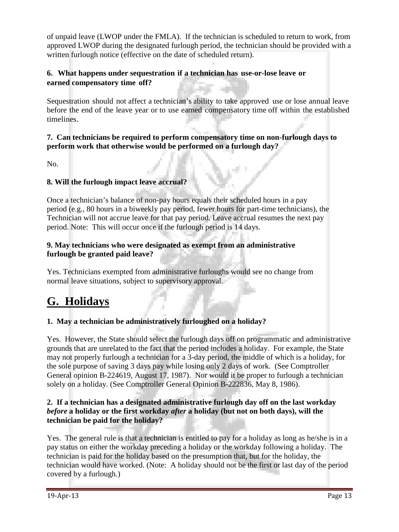of unpaid leave (LWOP under the FMLA). If the technician is scheduled to return to work, from approved LWOP during the designated furlough period, the technician should be provided with a written furlough notice (effective on the date of scheduled return).

# **6. What happens under sequestration if a technician has use-or-lose leave or earned compensatory time off?**

Sequestration should not affect a technician's ability to take approved use or lose annual leave before the end of the leave year or to use earned compensatory time off within the established timelines.

# **7. Can technicians be required to perform compensatory time on non-furlough days to perform work that otherwise would be performed on a furlough day?**

No.

### **8. Will the furlough impact leave accrual?**

Once a technician's balance of non-pay hours equals their scheduled hours in a pay period (e.g., 80 hours in a biweekly pay period, fewer hours for part-time technicians), the Technician will not accrue leave for that pay period. Leave accrual resumes the next pay period. Note: This will occur once if the furlough period is 14 days.

#### **9. May technicians who were designated as exempt from an administrative furlough be granted paid leave?**

Yes. Technicians exempted from administrative furloughs would see no change from normal leave situations, subject to supervisory approval.

# **G. Holidays**

# **1. May a technician be administratively furloughed on a holiday?**

Yes. However, the State should select the furlough days off on programmatic and administrative grounds that are unrelated to the fact that the period includes a holiday. For example, the State may not properly furlough a technician for a 3-day period, the middle of which is a holiday, for the sole purpose of saving 3 days pay while losing only 2 days of work. (See Comptroller General opinion B-224619, August 17, 1987). Nor would it be proper to furlough a technician solely on a holiday. (See Comptroller General Opinion B-222836, May 8, 1986).

# **2. If a technician has a designated administrative furlough day off on the last workday**  *before* **a holiday or the first workday** *after* **a holiday (but not on both days), will the technician be paid for the holiday?**

Yes. The general rule is that a technician is entitled to pay for a holiday as long as he/she is in a pay status on either the workday preceding a holiday or the workday following a holiday. The technician is paid for the holiday based on the presumption that, but for the holiday, the technician would have worked. (Note: A holiday should not be the first or last day of the period covered by a furlough.)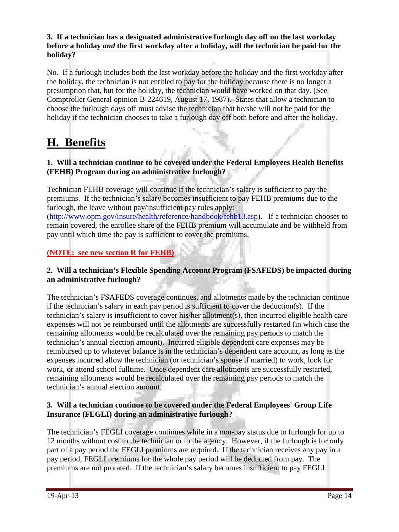# **3. If a technician has a designated administrative furlough day off on the last workday before a holiday** *and* **the first workday after a holiday, will the technician be paid for the holiday?**

No. If a furlough includes both the last workday before the holiday and the first workday after the holiday, the technician is not entitled to pay for the holiday because there is no longer a presumption that, but for the holiday, the technician would have worked on that day. (See Comptroller General opinion B-224619, August 17, 1987). States that allow a technician to choose the furlough days off must advise the technician that he/she will not be paid for the holiday if the technician chooses to take a furlough day off both before and after the holiday.

# **H. Benefits**

# **1. Will a technician continue to be covered under the Federal Employees Health Benefits (FEHB) Program during an administrative furlough?**

Technician FEHB coverage will continue if the technician's salary is sufficient to pay the premiums. If the technician's salary becomes insufficient to pay FEHB premiums due to the furlough, the leave without pay/insufficient pay rules apply:

[\(http://www.opm.gov/insure/health/reference/handbook/fehb13.asp\)](http://www.opm.gov/insure/health/reference/handbook/fehb13.asp). If a technician chooses to remain covered, the enrollee share of the FEHB premium will accumulate and be withheld from pay until which time the pay is sufficient to cover the premiums.

# **(NOTE: see new section R for FEHB)**

# **2. Will a technician's Flexible Spending Account Program (FSAFEDS) be impacted during an administrative furlough?**

The technician's FSAFEDS coverage continues, and allotments made by the technician continue if the technician's salary in each pay period is sufficient to cover the deduction(s). If the technician's salary is insufficient to cover his/her allotment(s), then incurred eligible health care expenses will not be reimbursed until the allotments are successfully restarted (in which case the remaining allotments would be recalculated over the remaining pay periods to match the technician's annual election amount). Incurred eligible dependent care expenses may be reimbursed up to whatever balance is in the technician's dependent care account, as long as the expenses incurred allow the technician (or technician's spouse if married) to work, look for work, or attend school fulltime. Once dependent care allotments are successfully restarted, remaining allotments would be recalculated over the remaining pay periods to match the technician's annual election amount.

# **3. Will a technician continue to be covered under the Federal Employees' Group Life Insurance (FEGLI) during an administrative furlough?**

The technician's FEGLI coverage continues while in a non-pay status due to furlough for up to 12 months without cost to the technician or to the agency. However, if the furlough is for only part of a pay period the FEGLI premiums are required. If the technician receives any pay in a pay period, FEGLI premiums for the whole pay period will be deducted from pay. The premiums are not prorated. If the technician's salary becomes insufficient to pay FEGLI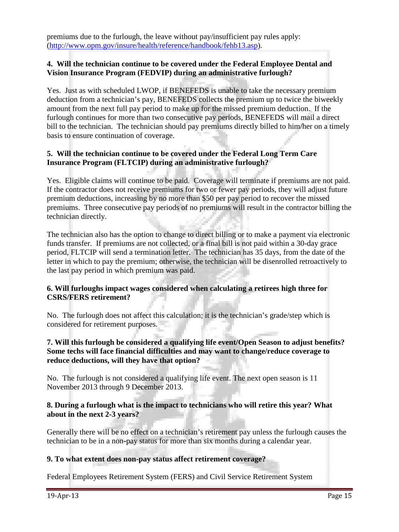premiums due to the furlough, the leave without pay/insufficient pay rules apply: [\(http://www.opm.gov/insure/health/reference/handbook/fehb13.asp\)](http://www.opm.gov/insure/health/reference/handbook/fehb13.asp).

### **4. Will the technician continue to be covered under the Federal Employee Dental and Vision Insurance Program (FEDVIP) during an administrative furlough?**

Yes. Just as with scheduled LWOP, if BENEFEDS is unable to take the necessary premium deduction from a technician's pay, BENEFEDS collects the premium up to twice the biweekly amount from the next full pay period to make up for the missed premium deduction. If the furlough continues for more than two consecutive pay periods, BENEFEDS will mail a direct bill to the technician. The technician should pay premiums directly billed to him/her on a timely basis to ensure continuation of coverage.

### **5. Will the technician continue to be covered under the Federal Long Term Care Insurance Program (FLTCIP) during an administrative furlough?**

Yes. Eligible claims will continue to be paid. Coverage will terminate if premiums are not paid. If the contractor does not receive premiums for two or fewer pay periods, they will adjust future premium deductions, increasing by no more than \$50 per pay period to recover the missed premiums. Three consecutive pay periods of no premiums will result in the contractor billing the technician directly.

The technician also has the option to change to direct billing or to make a payment via electronic funds transfer. If premiums are not collected, or a final bill is not paid within a 30-day grace period, FLTCIP will send a termination letter. The technician has 35 days, from the date of the letter in which to pay the premium; otherwise, the technician will be disenrolled retroactively to the last pay period in which premium was paid.

# **6. Will furloughs impact wages considered when calculating a retirees high three for CSRS/FERS retirement?**

No. The furlough does not affect this calculation; it is the technician's grade/step which is considered for retirement purposes.

#### **7. Will this furlough be considered a qualifying life event/Open Season to adjust benefits? Some techs will face financial difficulties and may want to change/reduce coverage to reduce deductions, will they have that option?**

No. The furlough is not considered a qualifying life event. The next open season is 11 November 2013 through 9 December 2013.

# **8. During a furlough what is the impact to technicians who will retire this year? What about in the next 2-3 years?**

Generally there will be no effect on a technician's retirement pay unless the furlough causes the technician to be in a non-pay status for more than six months during a calendar year.

# **9. To what extent does non-pay status affect retirement coverage?**

Federal Employees Retirement System (FERS) and Civil Service Retirement System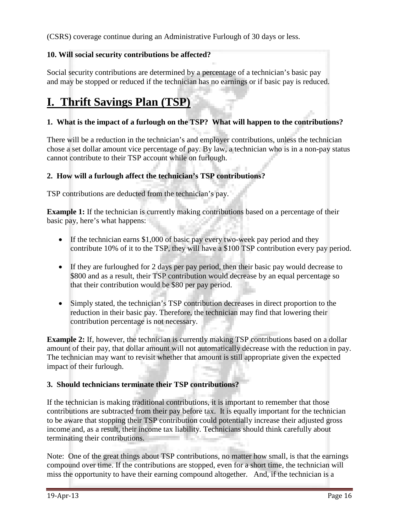(CSRS) coverage continue during an Administrative Furlough of 30 days or less.

# **10. Will social security contributions be affected?**

Social security contributions are determined by a percentage of a technician's basic pay and may be stopped or reduced if the technician has no earnings or if basic pay is reduced.

# **I. Thrift Savings Plan (TSP)**

# **1. What is the impact of a furlough on the TSP? What will happen to the contributions?**

There will be a reduction in the technician's and employer contributions, unless the technician chose a set dollar amount vice percentage of pay. By law, a technician who is in a non-pay status cannot contribute to their TSP account while on furlough.

### **2. How will a furlough affect the technician's TSP contributions?**

TSP contributions are deducted from the technician's pay.

**Example 1:** If the technician is currently making contributions based on a percentage of their basic pay, here's what happens:

- If the technician earns \$1,000 of basic pay every two-week pay period and they contribute 10% of it to the TSP, they will have a \$100 TSP contribution every pay period.
- If they are furloughed for 2 days per pay period, then their basic pay would decrease to \$800 and as a result, their TSP contribution would decrease by an equal percentage so that their contribution would be \$80 per pay period.
- Simply stated, the technician's TSP contribution decreases in direct proportion to the reduction in their basic pay. Therefore, the technician may find that lowering their contribution percentage is not necessary.

**Example 2:** If, however, the technician is currently making TSP contributions based on a dollar amount of their pay, that dollar amount will not automatically decrease with the reduction in pay. The technician may want to revisit whether that amount is still appropriate given the expected impact of their furlough.

#### **3. Should technicians terminate their TSP contributions?**

If the technician is making traditional contributions, it is important to remember that those contributions are subtracted from their pay before tax. It is equally important for the technician to be aware that stopping their TSP contribution could potentially increase their adjusted gross income and, as a result, their income tax liability. Technicians should think carefully about terminating their contributions.

Note: One of the great things about TSP contributions, no matter how small, is that the earnings compound over time. If the contributions are stopped, even for a short time, the technician will miss the opportunity to have their earning compound altogether. And, if the technician is a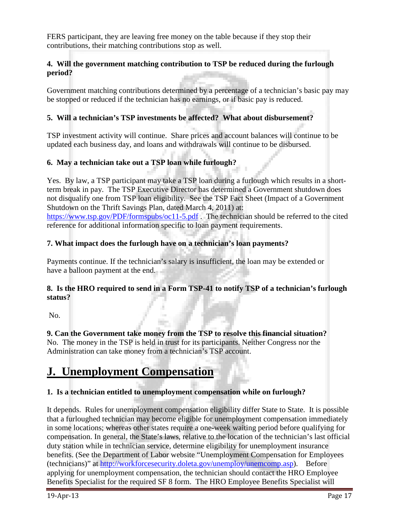FERS participant, they are leaving free money on the table because if they stop their contributions, their matching contributions stop as well.

# **4.****Will the government matching contribution to TSP be reduced during the furlough period?**

Government matching contributions determined by a percentage of a technician's basic pay may be stopped or reduced if the technician has no earnings, or if basic pay is reduced.

# **5. Will a technician's TSP investments be affected? What about disbursement?**

TSP investment activity will continue. Share prices and account balances will continue to be updated each business day, and loans and withdrawals will continue to be disbursed.

# **6. May a technician take out a TSP loan while furlough?**

Yes. By law, a TSP participant may take a TSP loan during a furlough which results in a shortterm break in pay. The TSP Executive Director has determined a Government shutdown does not disqualify one from TSP loan eligibility. See the TSP Fact Sheet (Impact of a Government Shutdown on the Thrift Savings Plan, dated March 4, 2011) at:

<https://www.tsp.gov/PDF/formspubs/oc11-5.pdf>. The technician should be referred to the cited reference for additional information specific to loan payment requirements.

# **7. What impact does the furlough have on a technician's loan payments?**

Payments continue. If the technician's salary is insufficient, the loan may be extended or have a balloon payment at the end.

# **8. Is the HRO required to send in a Form TSP-41 to notify TSP of a technician's furlough status?**

No.

**9. Can the Government take money from the TSP to resolve this financial situation?** No. The money in the TSP is held in trust for its participants. Neither Congress nor the Administration can take money from a technician's TSP account.

# **J. Unemployment Compensation**

# **1. Is a technician entitled to unemployment compensation while on furlough?**

It depends. Rules for unemployment compensation eligibility differ State to State. It is possible that a furloughed technician may become eligible for unemployment compensation immediately in some locations; whereas other states require a one-week waiting period before qualifying for compensation. In general, the State's laws, relative to the location of the technician's last official duty station while in technician service, determine eligibility for unemployment insurance benefits. (See the Department of Labor website "Unemployment Compensation for Employees (technicians)" at [http://workforcesecurity.doleta.gov/unemploy/unemcomp.asp\)](http://workforcesecurity.doleta.gov/unemploy/unemcomp.asp). Before applying for unemployment compensation, the technician should contact the HRO Employee Benefits Specialist for the required SF 8 form. The HRO Employee Benefits Specialist will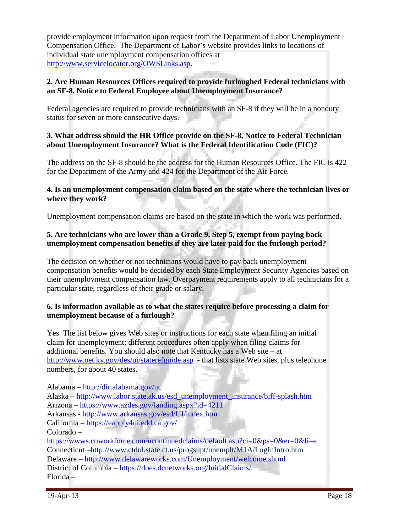provide employment information upon request from the Department of Labor Unemployment Compensation Office. The Department of Labor's website provides links to locations of individual state unemployment compensation offices at [http://www.servicelocator.org/OWSLinks.asp.](http://www.servicelocator.org/OWSLinks.asp)

#### **2. Are Human Resources Offices required to provide furloughed Federal technicians with an SF-8, Notice to Federal Employee about Unemployment Insurance?**

Federal agencies are required to provide technicians with an SF-8 if they will be in a nonduty status for seven or more consecutive days.

### **3. What address should the HR Office provide on the SF-8, Notice to Federal Technician about Unemployment Insurance? What is the Federal Identification Code (FIC)?**

The address on the SF-8 should be the address for the Human Resources Office. The FIC is 422 for the Department of the Army and 424 for the Department of the Air Force*.*

#### **4. Is an unemployment compensation claim based on the state where the technician lives or where they work?**

Unemployment compensation claims are based on the state in which the work was performed.

### **5. Are technicians who are lower than a Grade 9, Step 5, exempt from paying back unemployment compensation benefits if they are later paid for the furlough period?**

The decision on whether or not technicians would have to pay back unemployment compensation benefits would be decided by each State Employment Security Agencies based on their unemployment compensation law. Overpayment requirements apply to all technicians for a particular state, regardless of their grade or salary.

### **6. Is information available as to what the states require before processing a claim for unemployment because of a furlough?**

Yes. The list below gives Web sites or instructions for each state when filing an initial claim for unemployment; different procedures often apply when filing claims for additional benefits. You should also note that Kentucky has a Web site – at <http://www.oet.ky.gov/des/ui/staterefguide.asp> - that lists state Web sites, plus telephone numbers, for about 40 states.

Alabama – http://dir.alabama.gov/uc Alaska – http://www.labor.state.ak.us/esd\_unemployment\_insurance/biff-splash.htm Arizona – https://www.azdes.gov/landing.aspx?id=4211 Arkansas - http://www.arkansas.gov/esd/UI/index.htm California – https://eapply4ui.edd.ca.gov/ Colorado – https://wwws.coworkforce.com/ucontinuedclaims/default.asp?ci=0&ps=0&er=0&li=e Connecticut –http://www.ctdol.state.ct.us/progsupt/unemplt/M1A/LogInIntro.htm Delaware – http://www.delawareworks.com/Unemployment/welcome.shtml District of Columbia – https://does.dcnetworks.org/InitialClaims/ Florida –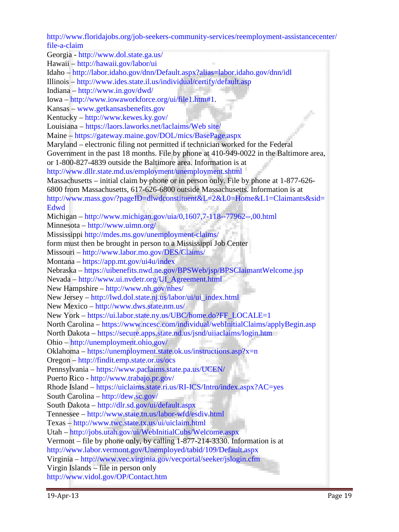http://www.floridajobs.org/job-seekers-community-services/reemployment-assistancecenter/ file-a-claim

Georgia - http://www.dol.state.ga.us/

Hawaii – http://hawaii.gov/labor/ui

Idaho – http://labor.idaho.gov/dnn/Default.aspx?alias=labor.idaho.gov/dnn/idl

Illinois – http://www.ides.state.il.us/individual/certify/default.asp

Indiana – http://www.in.gov/dwd/

Iowa – http://www.iowaworkforce.org/ui/file1.htm#1.

Kansas – www.getkansasbenefits.gov

Kentucky – http://www.kewes.ky.gov/

Louisiana – https://laors.laworks.net/laclaims/Web site/

Maine – https://gateway.maine.gov/DOL/mics/BasePage.aspx

Maryland – electronic filing not permitted if technician worked for the Federal

Government in the past 18 months. File by phone at 410-949-0022 in the Baltimore area, or 1-800-827-4839 outside the Baltimore area. Information is at

http://www.dllr.state.md.us/employment/unemployment.shtml

Massachusetts – initial claim by phone or in person only. File by phone at 1-877-626-

6800 from Massachusetts, 617-626-6800 outside Massachusetts. Information is at http://www.mass.gov/?pageID=dlwdconstituent&L=2&L0=Home&L1=Claimants&sid=

Edwd

Michigan – http://www.michigan.gov/uia/0,1607,7-118--77962--,00.html

Minnesota – http://www.uimn.org/

Mississippi http://mdes.ms.gov/unemployment-claims/

form must then be brought in person to a Mississippi Job Center

Missouri – http://www.labor.mo.gov/DES/Claims/

Montana – https://app.mt.gov/ui4u/index

Nebraska – https://uibenefits.nwd.ne.gov/BPSWeb/jsp/BPSClaimantWelcome.jsp

Nevada – http://www.ui.nvdetr.org/UI\_Agreement.html

New Hampshire – http://www.nh.gov/nhes/

New Jersey – http://lwd.dol.state.nj.us/labor/ui/ui\_index.html

New Mexico – http://www.dws.state.nm.us/

New York – https://ui.labor.state.ny.us/UBC/home.do?FF\_LOCALE=1

North Carolina – https://www.ncesc.com/individual/webInitialClaims/applyBegin.asp

North Dakota – https://secure.apps.state.nd.us/jsnd/uiiaclaims/login.htm

Ohio – http://unemployment.ohio.gov/

Oklahoma – https://unemployment.state.ok.us/instructions.asp?x=n

Oregon – http://findit.emp.state.or.us/ocs

Pennsylvania – https://www.paclaims.state.pa.us/UCEN/

Puerto Rico - http://www.trabajo.pr.gov/

Rhode Island – https://uiclaims.state.ri.us/RI-ICS/Intro/index.aspx?AC=yes

South Carolina – http://dew.sc.gov/

South Dakota – http://dlr.sd.gov/ui/default.aspx

Tennessee – http://www.state.tn.us/labor-wfd/esdiv.html

Texas – http://www.twc.state.tx.us/ui/uiclaim.html

Utah – http://jobs.utah.gov/ui/WebInitialCubs/Welcome.aspx

Vermont – file by phone only, by calling 1-877-214-3330. Information is at

http://www.labor.vermont.gov/Unemployed/tabid/109/Default.aspx

Virginia – http://www.vec.virginia.gov/vecportal/seeker/jslogin.cfm

Virgin Islands – file in person only

http://www.vidol.gov/OP/Contact.htm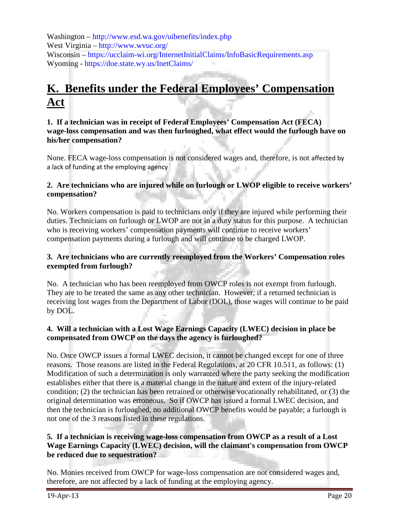Washington – http://www.esd.wa.gov/uibenefits/index.php West Virginia – http://www.wvuc.org/ Wisconsin – https://ucclaim-wi.org/InternetInitialClaims/InfoBasicRequirements.asp Wyoming - https://doe.state.wy.us/InetClaims/

# **K. Benefits under the Federal Employees' Compensation Act**

#### **1. If a technician was in receipt of Federal Employees' Compensation Act (FECA) wage-loss compensation and was then furloughed, what effect would the furlough have on his/her compensation?**

None. FECA wage-loss compensation is not considered wages and, therefore, is not affected by a lack of funding at the employing agency

### **2. Are technicians who are injured while on furlough or LWOP eligible to receive workers' compensation?**

No. Workers compensation is paid to technicians only if they are injured while performing their duties. Technicians on furlough or LWOP are not in a duty status for this purpose. A technician who is receiving workers' compensation payments will continue to receive workers' compensation payments during a furlough and will continue to be charged LWOP.

### **3. Are technicians who are currently reemployed from the Workers' Compensation roles exempted from furlough?**

No. A technician who has been reemployed from OWCP roles is not exempt from furlough. They are to be treated the same as any other technician. However, if a returned technician is receiving lost wages from the Department of Labor (DOL), those wages will continue to be paid by DOL.

# **4. Will a technician with a Lost Wage Earnings Capacity (LWEC) decision in place be compensated from OWCP on the days the agency is furloughed?**

No. Once OWCP issues a formal LWEC decision, it cannot be changed except for one of three reasons. Those reasons are listed in the Federal Regulations, at 20 CFR 10.511, as follows: (1) Modification of such a determination is only warranted where the party seeking the modification establishes either that there is a material change in the nature and extent of the injury-related condition; (2) the technician has been retrained or otherwise vocationally rehabilitated, or (3) the original determination was erroneous. So if OWCP has issued a formal LWEC decision, and then the technician is furloughed, no additional OWCP benefits would be payable; a furlough is not one of the 3 reasons listed in these regulations.

### **5. If a technician is receiving wage-loss compensation from OWCP as a result of a Lost Wage Earnings Capacity (LWEC) decision, will the claimant's compensation from OWCP be reduced due to sequestration?**

No. Monies received from OWCP for wage-loss compensation are not considered wages and, therefore, are not affected by a lack of funding at the employing agency.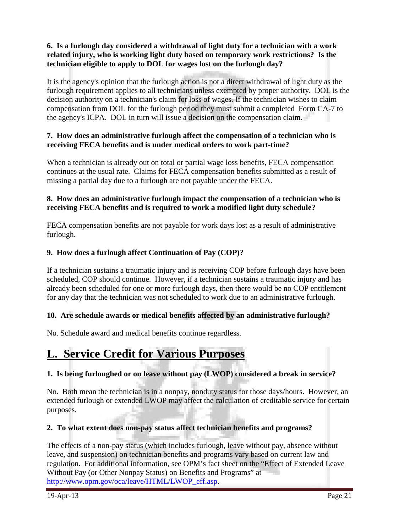# **6. Is a furlough day considered a withdrawal of light duty for a technician with a work related injury, who is working light duty based on temporary work restrictions? Is the technician eligible to apply to DOL for wages lost on the furlough day?**

It is the agency's opinion that the furlough action is not a direct withdrawal of light duty as the furlough requirement applies to all technicians unless exempted by proper authority. DOL is the decision authority on a technician's claim for loss of wages. If the technician wishes to claim compensation from DOL for the furlough period they must submit a completed Form CA-7 to the agency's ICPA. DOL in turn will issue a decision on the compensation claim.

# **7. How does an administrative furlough affect the compensation of a technician who is receiving FECA benefits and is under medical orders to work part-time?**

When a technician is already out on total or partial wage loss benefits, FECA compensation continues at the usual rate. Claims for FECA compensation benefits submitted as a result of missing a partial day due to a furlough are not payable under the FECA.

# **8. How does an administrative furlough impact the compensation of a technician who is receiving FECA benefits and is required to work a modified light duty schedule?**

FECA compensation benefits are not payable for work days lost as a result of administrative furlough.

# **9. How does a furlough affect Continuation of Pay (COP)?**

If a technician sustains a traumatic injury and is receiving COP before furlough days have been scheduled, COP should continue. However, if a technician sustains a traumatic injury and has already been scheduled for one or more furlough days, then there would be no COP entitlement for any day that the technician was not scheduled to work due to an administrative furlough.

#### **10. Are schedule awards or medical benefits affected by an administrative furlough?**

No. Schedule award and medical benefits continue regardless.

# **L. Service Credit for Various Purposes**

# **1. Is being furloughed or on leave without pay (LWOP) considered a break in service?**

No. Both mean the technician is in a nonpay, nonduty status for those days/hours. However, an extended furlough or extended LWOP may affect the calculation of creditable service for certain purposes.

#### **2. To what extent does non-pay status affect technician benefits and programs?**

The effects of a non-pay status (which includes furlough, leave without pay, absence without leave, and suspension) on technician benefits and programs vary based on current law and regulation. For additional information, see OPM's fact sheet on the "Effect of Extended Leave Without Pay (or Other Nonpay Status) on Benefits and Programs" at [http://www.opm.gov/oca/leave/HTML/LWOP\\_eff.asp.](http://www.opm.gov/oca/leave/HTML/LWOP_eff.asp)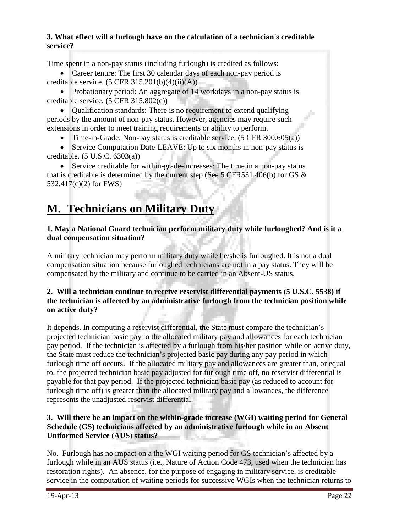# **3. What effect will a furlough have on the calculation of a technician's creditable service?**

Time spent in a non-pay status (including furlough) is credited as follows:

• Career tenure: The first 30 calendar days of each non-pay period is creditable service.  $(5 \text{ CFR } 315.201(b)(4)(ii)(A))$ 

• Probationary period: An aggregate of 14 workdays in a non-pay status is creditable service. (5 CFR 315.802(c))

• Cualification standards: There is no requirement to extend qualifying periods by the amount of non-pay status. However, agencies may require such extensions in order to meet training requirements or ability to perform.

• Time-in-Grade: Non-pay status is creditable service.  $(5 \text{ CFR } 300.605(a))$ 

• Service Computation Date-LEAVE: Up to six months in non-pay status is creditable. (5 U.S.C. 6303(a))

Service creditable for within-grade-increases: The time in a non-pay status that is creditable is determined by the current step (See 5 CFR531.406(b) for GS  $\&$ 532.417(c)(2) for FWS)

# **M. Technicians on Military Duty**

### **1. May a National Guard technician perform military duty while furloughed? And is it a dual compensation situation?**

A military technician may perform military duty while he/she is furloughed. It is not a dual compensation situation because furloughed technicians are not in a pay status. They will be compensated by the military and continue to be carried in an Absent-US status.

# **2. Will a technician continue to receive reservist differential payments (5 U.S.C. 5538) if the technician is affected by an administrative furlough from the technician position while on active duty?**

It depends. In computing a reservist differential, the State must compare the technician's projected technician basic pay to the allocated military pay and allowances for each technician pay period. If the technician is affected by a furlough from his/her position while on active duty, the State must reduce the technician's projected basic pay during any pay period in which furlough time off occurs. If the allocated military pay and allowances are greater than, or equal to, the projected technician basic pay adjusted for furlough time off, no reservist differential is payable for that pay period. If the projected technician basic pay (as reduced to account for furlough time off) is greater than the allocated military pay and allowances, the difference represents the unadjusted reservist differential.

# **3. Will there be an impact on the within-grade increase (WGI) waiting period for General Schedule (GS) technicians affected by an administrative furlough while in an Absent Uniformed Service (AUS) status?**

No. Furlough has no impact on a the WGI waiting period for GS technician's affected by a furlough while in an AUS status (i.e., Nature of Action Code 473, used when the technician has restoration rights). An absence, for the purpose of engaging in military service, is creditable service in the computation of waiting periods for successive WGIs when the technician returns to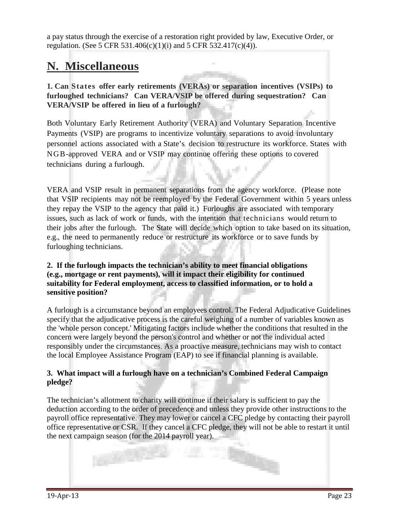a pay status through the exercise of a restoration right provided by law, Executive Order, or regulation. (See 5 CFR 531.406(c)(1)(i) and 5 CFR 532.417(c)(4)).

# **N. Miscellaneous**

**1. Can States offer early retirements (VERAs) or separation incentives (VSIPs) to furloughed technicians? Can VERA/VSIP be offered during sequestration? Can VERA/VSIP be offered in lieu of a furlough?**

Both Voluntary Early Retirement Authority (VERA) and Voluntary Separation Incentive Payments (VSIP) are programs to incentivize voluntary separations to avoid involuntary personnel actions associated with a State's decision to restructure its workforce. States with NGB-approved VERA and or VSIP may continue offering these options to covered technicians during a furlough.

VERA and VSIP result in permanent separations from the agency workforce. (Please note that VSIP recipients may not be reemployed by the Federal Government within 5 years unless they repay the VSIP to the agency that paid it.) Furloughs are associated with temporary issues, such as lack of work or funds, with the intention that technicians would return to their jobs after the furlough. The State will decide which option to take based on its situation, e.g., the need to permanently reduce or restructure its workforce or to save funds by furloughing technicians.

#### **2. If the furlough impacts the technician's ability to meet financial obligations (e.g., mortgage or rent payments), will it impact their eligibility for continued suitability for Federal employment, access to classified information, or to hold a sensitive position?**

A furlough is a circumstance beyond an employees control. The Federal Adjudicative Guidelines specify that the adjudicative process is the careful weighing of a number of variables known as the 'whole person concept.' Mitigating factors include whether the conditions that resulted in the concern were largely beyond the person's control and whether or not the individual acted responsibly under the circumstances. As a proactive measure, technicians may wish to contact the local Employee Assistance Program (EAP) to see if financial planning is available.

# **3. What impact will a furlough have on a technician's Combined Federal Campaign pledge?**

The technician's allotment to charity will continue if their salary is sufficient to pay the deduction according to the order of precedence and unless they provide other instructions to the payroll office representative. They may lower or cancel a CFC pledge by contacting their payroll office representative or CSR. If they cancel a CFC pledge, they will not be able to restart it until the next campaign season (for the 2014 payroll year).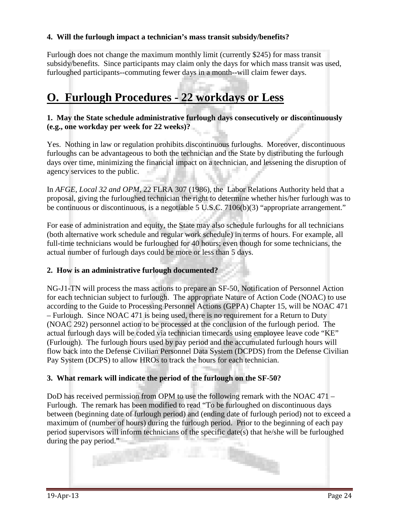# **4. Will the furlough impact a technician's mass transit subsidy/benefits?**

Furlough does not change the maximum monthly limit (currently \$245) for mass transit subsidy/benefits. Since participants may claim only the days for which mass transit was used, furloughed participants--commuting fewer days in a month--will claim fewer days.

# **O. Furlough Procedures - 22 workdays or Less**

### **1. May the State schedule administrative furlough days consecutively or discontinuously (e.g., one workday per week for 22 weeks)?**

Yes. Nothing in law or regulation prohibits discontinuous furloughs. Moreover, discontinuous furloughs can be advantageous to both the technician and the State by distributing the furlough days over time, minimizing the financial impact on a technician, and lessening the disruption of agency services to the public.

In *AFGE, Local 32 and OPM*, 22 FLRA 307 (1986), the Labor Relations Authority held that a proposal, giving the furloughed technician the right to determine whether his/her furlough was to be continuous or discontinuous, is a negotiable 5 U.S.C. 7106(b)(3) "appropriate arrangement."

For ease of administration and equity, the State may also schedule furloughs for all technicians (both alternative work schedule and regular work schedule) in terms of hours. For example, all full-time technicians would be furloughed for 40 hours; even though for some technicians, the actual number of furlough days could be more or less than 5 days.

#### **2. How is an administrative furlough documented?**

NG-J1-TN will process the mass actions to prepare an SF-50, Notification of Personnel Action for each technician subject to furlough. The appropriate Nature of Action Code (NOAC) to use according to the Guide to Processing Personnel Actions (GPPA) Chapter 15, will be NOAC 471 – Furlough. Since NOAC 471 is being used, there is no requirement for a Return to Duty (NOAC 292) personnel action to be processed at the conclusion of the furlough period. The actual furlough days will be coded via technician timecards using employee leave code "KE" (Furlough). The furlough hours used by pay period and the accumulated furlough hours will flow back into the Defense Civilian Personnel Data System (DCPDS) from the Defense Civilian Pay System (DCPS) to allow HROs to track the hours for each technician.

#### **3. What remark will indicate the period of the furlough on the SF-50?**

DoD has received permission from OPM to use the following remark with the NOAC 471 – Furlough. The remark has been modified to read "To be furloughed on discontinuous days between (beginning date of furlough period) and (ending date of furlough period) not to exceed a maximum of (number of hours) during the furlough period. Prior to the beginning of each pay period supervisors will inform technicians of the specific date(s) that he/she will be furloughed during the pay period."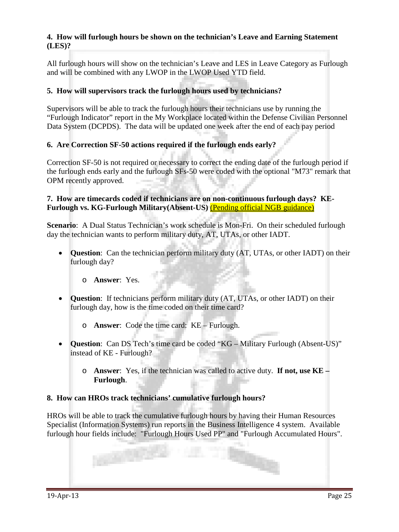# **4. How will furlough hours be shown on the technician's Leave and Earning Statement (LES)?**

All furlough hours will show on the technician's Leave and LES in Leave Category as Furlough and will be combined with any LWOP in the LWOP Used YTD field.

# **5. How will supervisors track the furlough hours used by technicians?**

Supervisors will be able to track the furlough hours their technicians use by running the "Furlough Indicator" report in the My Workplace located within the Defense Civilian Personnel Data System (DCPDS). The data will be updated one week after the end of each pay period

### **6. Are Correction SF-50 actions required if the furlough ends early?**

Correction SF-50 is not required or necessary to correct the ending date of the furlough period if the furlough ends early and the furlough SFs-50 were coded with the optional "M73" remark that OPM recently approved.

#### **7. How are timecards coded if technicians are on non-continuous furlough days? KE-Furlough vs. KG-Furlough Military(Absent-US)** (Pending official NGB guidance)

**Scenario**: A Dual Status Technician's work schedule is Mon-Fri. On their scheduled furlough day the technician wants to perform military duty, AT, UTAs, or other IADT.

- **Question**: Can the technician perform military duty (AT, UTAs, or other IADT) on their furlough day?
	- o **Answer**: Yes.
- **Question**: If technicians perform military duty (AT, UTAs, or other IADT) on their furlough day, how is the time coded on their time card?

o **Answer**: Code the time card: KE – Furlough.

- **Question**: Can DS Tech's time card be coded "KG Military Furlough (Absent-US)" instead of KE - Furlough?
	- o **Answer**: Yes, if the technician was called to active duty. **If not, use KE – Furlough**.

#### **8. How can HROs track technicians' cumulative furlough hours?**

HROs will be able to track the cumulative furlough hours by having their Human Resources Specialist (Information Systems) run reports in the Business Intelligence 4 system. Available furlough hour fields include: "Furlough Hours Used PP" and "Furlough Accumulated Hours".

42 C.C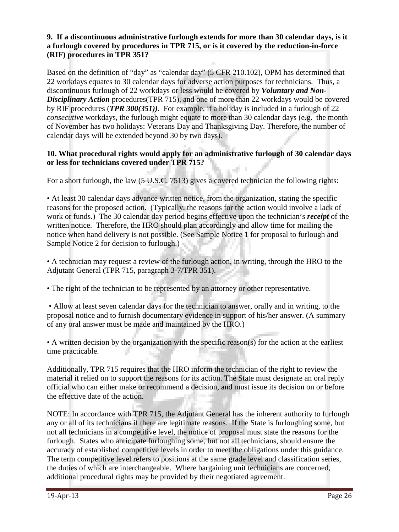# **9. If a discontinuous administrative furlough extends for more than 30 calendar days, is it a furlough covered by procedures in TPR 715, or is it covered by the reduction-in-force (RIF) procedures in TPR 351?**

Based on the definition of "day" as "calendar day" (5 CFR 210.102), OPM has determined that 22 workdays equates to 30 calendar days for adverse action purposes for technicians. Thus, a discontinuous furlough of 22 workdays or less would be covered by *Voluntary and Non-Disciplinary Action* procedures(TPR 715), and one of more than 22 workdays would be covered by RIF procedures (*TPR 300(351))*. For example, if a holiday is included in a furlough of 22 *consecutive* workdays, the furlough might equate to more than 30 calendar days (e.g. the month of November has two holidays: Veterans Day and Thanksgiving Day. Therefore, the number of calendar days will be extended beyond 30 by two days).

#### **10. What procedural rights would apply for an administrative furlough of 30 calendar days or less for technicians covered under TPR 715?**

For a short furlough, the law (5 U.S.C. 7513) gives a covered technician the following rights:

• At least 30 calendar days advance written notice, from the organization, stating the specific reasons for the proposed action. (Typically, the reasons for the action would involve a lack of work or funds.) The 30 calendar day period begins effective upon the technician's *receipt* of the written notice. Therefore, the HRO should plan accordingly and allow time for mailing the notice when hand delivery is not possible. (See Sample Notice 1 for proposal to furlough and Sample Notice 2 for decision to furlough.)

• A technician may request a review of the furlough action, in writing, through the HRO to the Adjutant General (TPR 715, paragraph 3-7/TPR 351).

• The right of the technician to be represented by an attorney or other representative.

• Allow at least seven calendar days for the technician to answer, orally and in writing, to the proposal notice and to furnish documentary evidence in support of his/her answer. (A summary of any oral answer must be made and maintained by the HRO.)

• A written decision by the organization with the specific reason(s) for the action at the earliest time practicable.

Additionally, TPR 715 requires that the HRO inform the technician of the right to review the material it relied on to support the reasons for its action. The State must designate an oral reply official who can either make or recommend a decision, and must issue its decision on or before the effective date of the action.

NOTE: In accordance with TPR 715, the Adjutant General has the inherent authority to furlough any or all of its technicians if there are legitimate reasons. If the State is furloughing some, but not all technicians in a competitive level, the notice of proposal must state the reasons for the furlough. States who anticipate furloughing some, but not all technicians, should ensure the accuracy of established competitive levels in order to meet the obligations under this guidance. The term competitive level refers to positions at the same grade level and classification series, the duties of which are interchangeable. Where bargaining unit technicians are concerned, additional procedural rights may be provided by their negotiated agreement.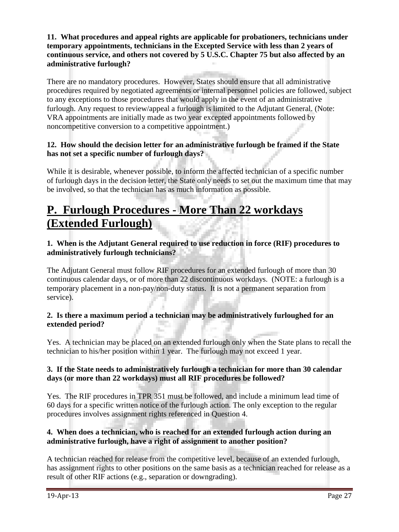### **11. What procedures and appeal rights are applicable for probationers, technicians under temporary appointments, technicians in the Excepted Service with less than 2 years of continuous service, and others not covered by 5 U.S.C. Chapter 75 but also affected by an administrative furlough?**

There are no mandatory procedures. However, States should ensure that all administrative procedures required by negotiated agreements or internal personnel policies are followed, subject to any exceptions to those procedures that would apply in the event of an administrative furlough. Any request to review/appeal a furlough is limited to the Adjutant General. (Note: VRA appointments are initially made as two year excepted appointments followed by noncompetitive conversion to a competitive appointment.)

# **12. How should the decision letter for an administrative furlough be framed if the State has not set a specific number of furlough days?**

While it is desirable, whenever possible, to inform the affected technician of a specific number of furlough days in the decision letter, the State only needs to set out the maximum time that may be involved, so that the technician has as much information as possible.

# **P. Furlough Procedures - More Than 22 workdays (Extended Furlough)**

# **1. When is the Adjutant General required to use reduction in force (RIF) procedures to administratively furlough technicians?**

The Adjutant General must follow RIF procedures for an extended furlough of more than 30 continuous calendar days, or of more than 22 discontinuous workdays. (NOTE: a furlough is a temporary placement in a non-pay/non-duty status. It is not a permanent separation from service).

# **2. Is there a maximum period a technician may be administratively furloughed for an extended period?**

Yes. A technician may be placed on an extended furlough only when the State plans to recall the technician to his/her position within 1 year. The furlough may not exceed 1 year.

# **3. If the State needs to administratively furlough a technician for more than 30 calendar days (or more than 22 workdays) must all RIF procedures be followed?**

Yes. The RIF procedures in TPR 351 must be followed, and include a minimum lead time of 60 days for a specific written notice of the furlough action. The only exception to the regular procedures involves assignment rights referenced in Question 4.

# **4. When does a technician, who is reached for an extended furlough action during an administrative furlough, have a right of assignment to another position?**

A technician reached for release from the competitive level, because of an extended furlough, has assignment rights to other positions on the same basis as a technician reached for release as a result of other RIF actions (e.g., separation or downgrading).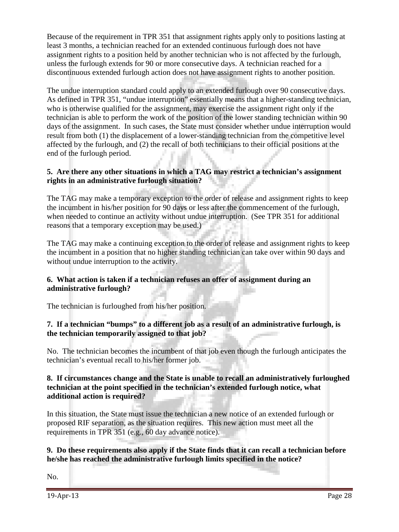Because of the requirement in TPR 351 that assignment rights apply only to positions lasting at least 3 months, a technician reached for an extended continuous furlough does not have assignment rights to a position held by another technician who is not affected by the furlough, unless the furlough extends for 90 or more consecutive days. A technician reached for a discontinuous extended furlough action does not have assignment rights to another position.

The undue interruption standard could apply to an extended furlough over 90 consecutive days. As defined in TPR 351, "undue interruption" essentially means that a higher-standing technician, who is otherwise qualified for the assignment, may exercise the assignment right only if the technician is able to perform the work of the position of the lower standing technician within 90 days of the assignment. In such cases, the State must consider whether undue interruption would result from both (1) the displacement of a lower-standing technician from the competitive level affected by the furlough, and (2) the recall of both technicians to their official positions at the end of the furlough period.

#### **5. Are there any other situations in which a TAG may restrict a technician's assignment rights in an administrative furlough situation?**

The TAG may make a temporary exception to the order of release and assignment rights to keep the incumbent in his/her position for 90 days or less after the commencement of the furlough, when needed to continue an activity without undue interruption. (See TPR 351 for additional reasons that a temporary exception may be used.)

The TAG may make a continuing exception to the order of release and assignment rights to keep the incumbent in a position that no higher standing technician can take over within 90 days and without undue interruption to the activity.

#### **6. What action is taken if a technician refuses an offer of assignment during an administrative furlough?**

The technician is furloughed from his/her position.

### **7. If a technician "bumps" to a different job as a result of an administrative furlough, is the technician temporarily assigned to that job?**

No. The technician becomes the incumbent of that job even though the furlough anticipates the technician's eventual recall to his/her former job.

### **8. If circumstances change and the State is unable to recall an administratively furloughed technician at the point specified in the technician's extended furlough notice, what additional action is required?**

In this situation, the State must issue the technician a new notice of an extended furlough or proposed RIF separation, as the situation requires. This new action must meet all the requirements in TPR 351 (e.g., 60 day advance notice).

### **9. Do these requirements also apply if the State finds that it can recall a technician before he/she has reached the administrative furlough limits specified in the notice?**

No.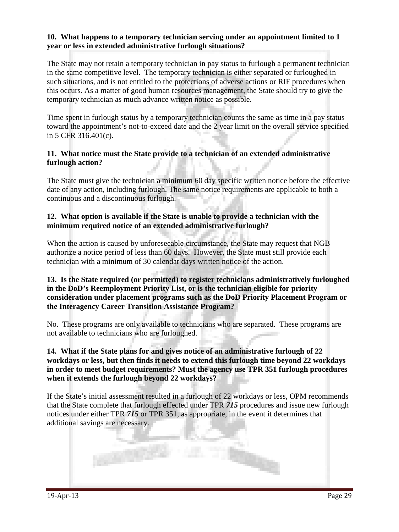#### **10. What happens to a temporary technician serving under an appointment limited to 1 year or less in extended administrative furlough situations?**

The State may not retain a temporary technician in pay status to furlough a permanent technician in the same competitive level. The temporary technician is either separated or furloughed in such situations, and is not entitled to the protections of adverse actions or RIF procedures when this occurs. As a matter of good human resources management, the State should try to give the temporary technician as much advance written notice as possible.

Time spent in furlough status by a temporary technician counts the same as time in a pay status toward the appointment's not-to-exceed date and the 2 year limit on the overall service specified in 5 CFR 316.401(c).

### **11. What notice must the State provide to a technician of an extended administrative furlough action?**

The State must give the technician a minimum 60 day specific written notice before the effective date of any action, including furlough. The same notice requirements are applicable to both a continuous and a discontinuous furlough.

#### **12. What option is available if the State is unable to provide a technician with the minimum required notice of an extended administrative furlough?**

When the action is caused by unforeseeable circumstance, the State may request that NGB authorize a notice period of less than 60 days. However, the State must still provide each technician with a minimum of 30 calendar days written notice of the action.

#### **13. Is the State required (or permitted) to register technicians administratively furloughed in the DoD's Reemployment Priority List, or is the technician eligible for priority consideration under placement programs such as the DoD Priority Placement Program or the Interagency Career Transition Assistance Program?**

No. These programs are only available to technicians who are separated. These programs are not available to technicians who are furloughed.

#### **14. What if the State plans for and gives notice of an administrative furlough of 22 workdays or less, but then finds it needs to extend this furlough time beyond 22 workdays in order to meet budget requirements? Must the agency use TPR 351 furlough procedures when it extends the furlough beyond 22 workdays?**

If the State's initial assessment resulted in a furlough of 22 workdays or less, OPM recommends that the State complete that furlough effected under TPR *715* procedures and issue new furlough notices under either TPR *715* or TPR 351, as appropriate, in the event it determines that additional savings are necessary.

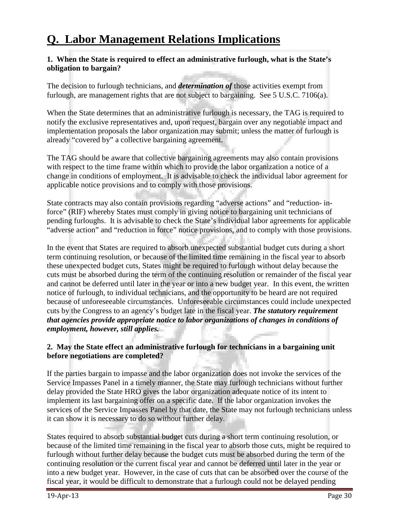# **Q. Labor Management Relations Implications**

#### **1. When the State is required to effect an administrative furlough, what is the State's obligation to bargain?**

The decision to furlough technicians, and *determination of* those activities exempt from furlough, are management rights that are not subject to bargaining. See 5 U.S.C. 7106(a).

When the State determines that an administrative furlough is necessary, the TAG is required to notify the exclusive representatives and, upon request, bargain over any negotiable impact and implementation proposals the labor organization may submit; unless the matter of furlough is already "covered by" a collective bargaining agreement.

The TAG should be aware that collective bargaining agreements may also contain provisions with respect to the time frame within which to provide the labor organization a notice of a change in conditions of employment. It is advisable to check the individual labor agreement for applicable notice provisions and to comply with those provisions.

State contracts may also contain provisions regarding "adverse actions" and "reduction- inforce" (RIF) whereby States must comply in giving notice to bargaining unit technicians of pending furloughs. It is advisable to check the State's individual labor agreements for applicable "adverse action" and "reduction in force" notice provisions, and to comply with those provisions.

In the event that States are required to absorb unexpected substantial budget cuts during a short term continuing resolution, or because of the limited time remaining in the fiscal year to absorb these unexpected budget cuts, States might be required to furlough without delay because the cuts must be absorbed during the term of the continuing resolution or remainder of the fiscal year and cannot be deferred until later in the year or into a new budget year. In this event, the written notice of furlough, to individual technicians, and the opportunity to be heard are not required because of unforeseeable circumstances. Unforeseeable circumstances could include unexpected cuts by the Congress to an agency's budget late in the fiscal year. *The statutory requirement that agencies provide appropriate notice to labor organizations of changes in conditions of employment, however, still applies.*

### **2. May the State effect an administrative furlough for technicians in a bargaining unit before negotiations are completed?**

If the parties bargain to impasse and the labor organization does not invoke the services of the Service Impasses Panel in a timely manner, the State may furlough technicians without further delay provided the State HRO gives the labor organization adequate notice of its intent to implement its last bargaining offer on a specific date. If the labor organization invokes the services of the Service Impasses Panel by that date, the State may not furlough technicians unless it can show it is necessary to do so without further delay.

States required to absorb substantial budget cuts during a short term continuing resolution, or because of the limited time remaining in the fiscal year to absorb those cuts, might be required to furlough without further delay because the budget cuts must be absorbed during the term of the continuing resolution or the current fiscal year and cannot be deferred until later in the year or into a new budget year. However, in the case of cuts that can be absorbed over the course of the fiscal year, it would be difficult to demonstrate that a furlough could not be delayed pending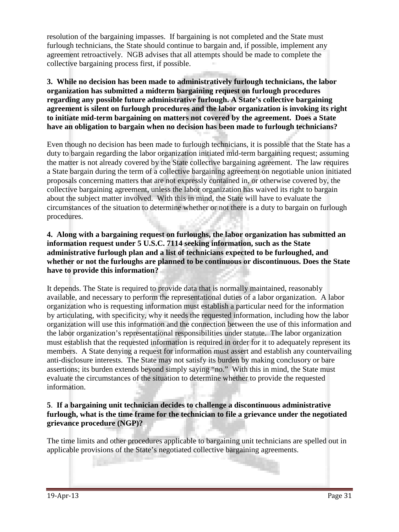resolution of the bargaining impasses. If bargaining is not completed and the State must furlough technicians, the State should continue to bargain and, if possible, implement any agreement retroactively. NGB advises that all attempts should be made to complete the collective bargaining process first, if possible.

#### **3. While no decision has been made to administratively furlough technicians, the labor organization has submitted a midterm bargaining request on furlough procedures regarding any possible future administrative furlough. A State's collective bargaining agreement is silent on furlough procedures and the labor organization is invoking its right to initiate mid-term bargaining on matters not covered by the agreement. Does a State have an obligation to bargain when no decision has been made to furlough technicians?**

Even though no decision has been made to furlough technicians, it is possible that the State has a duty to bargain regarding the labor organization initiated mid-term bargaining request; assuming the matter is not already covered by the State collective bargaining agreement. The law requires a State bargain during the term of a collective bargaining agreement on negotiable union initiated proposals concerning matters that are not expressly contained in, or otherwise covered by, the collective bargaining agreement, unless the labor organization has waived its right to bargain about the subject matter involved. With this in mind, the State will have to evaluate the circumstances of the situation to determine whether or not there is a duty to bargain on furlough procedures.

#### **4. Along with a bargaining request on furloughs, the labor organization has submitted an information request under 5 U.S.C. 7114 seeking information, such as the State administrative furlough plan and a list of technicians expected to be furloughed, and whether or not the furloughs are planned to be continuous or discontinuous. Does the State have to provide this information?**

It depends. The State is required to provide data that is normally maintained, reasonably available, and necessary to perform the representational duties of a labor organization. A labor organization who is requesting information must establish a particular need for the information by articulating, with specificity, why it needs the requested information, including how the labor organization will use this information and the connection between the use of this information and the labor organization's representational responsibilities under statute. The labor organization must establish that the requested information is required in order for it to adequately represent its members. A State denying a request for information must assert and establish any countervailing anti-disclosure interests. The State may not satisfy its burden by making conclusory or bare assertions; its burden extends beyond simply saying "no." With this in mind, the State must evaluate the circumstances of the situation to determine whether to provide the requested information.

### **5**. **If a bargaining unit technician decides to challenge a discontinuous administrative furlough, what is the time frame for the technician to file a grievance under the negotiated grievance procedure (NGP)?**

The time limits and other procedures applicable to bargaining unit technicians are spelled out in applicable provisions of the State's negotiated collective bargaining agreements.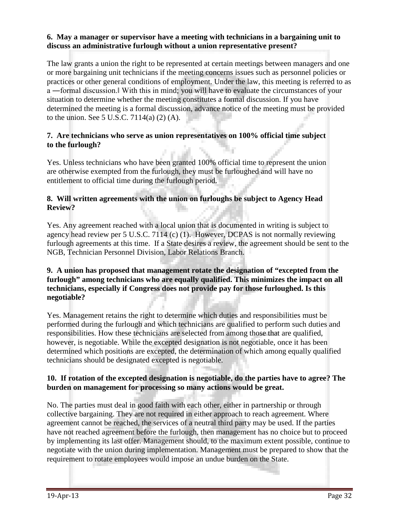### **6. May a manager or supervisor have a meeting with technicians in a bargaining unit to discuss an administrative furlough without a union representative present?**

The law grants a union the right to be represented at certain meetings between managers and one or more bargaining unit technicians if the meeting concerns issues such as personnel policies or practices or other general conditions of employment. Under the law, this meeting is referred to as a ―formal discussion.‖ With this in mind; you will have to evaluate the circumstances of your situation to determine whether the meeting constitutes a formal discussion. If you have determined the meeting is a formal discussion, advance notice of the meeting must be provided to the union. See 5 U.S.C. 7114(a) (2) (A).

### **7. Are technicians who serve as union representatives on 100% official time subject to the furlough?**

Yes. Unless technicians who have been granted 100% official time to represent the union are otherwise exempted from the furlough, they must be furloughed and will have no entitlement to official time during the furlough period.

# **8. Will written agreements with the union on furloughs be subject to Agency Head Review?**

Yes. Any agreement reached with a local union that is documented in writing is subject to agency head review per 5 U.S.C. 7114 (c) (1). However, DCPAS is not normally reviewing furlough agreements at this time. If a State desires a review, the agreement should be sent to the NGB, Technician Personnel Division, Labor Relations Branch.

### **9. A union has proposed that management rotate the designation of "excepted from the furlough" among technicians who are equally qualified. This minimizes the impact on all technicians, especially if Congress does not provide pay for those furloughed. Is this negotiable?**

Yes. Management retains the right to determine which duties and responsibilities must be performed during the furlough and which technicians are qualified to perform such duties and responsibilities. How these technicians are selected from among those that are qualified, however, is negotiable. While the excepted designation is not negotiable, once it has been determined which positions are excepted, the determination of which among equally qualified technicians should be designated excepted is negotiable.

### **10. If rotation of the excepted designation is negotiable, do the parties have to agree? The burden on management for processing so many actions would be great.**

No. The parties must deal in good faith with each other, either in partnership or through collective bargaining. They are not required in either approach to reach agreement. Where agreement cannot be reached, the services of a neutral third party may be used. If the parties have not reached agreement before the furlough, then management has no choice but to proceed by implementing its last offer. Management should, to the maximum extent possible, continue to negotiate with the union during implementation. Management must be prepared to show that the requirement to rotate employees would impose an undue burden on the State.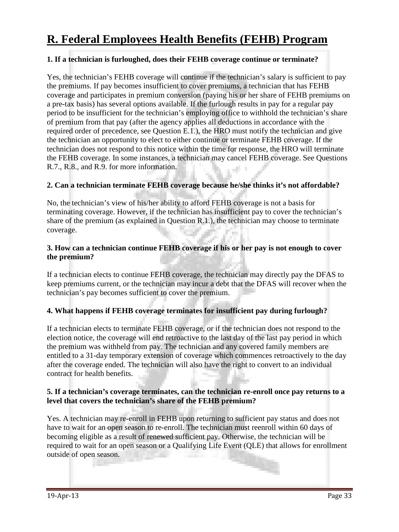# **R. Federal Employees Health Benefits (FEHB) Program**

#### **1. If a technician is furloughed, does their FEHB coverage continue or terminate?**

Yes, the technician's FEHB coverage will continue if the technician's salary is sufficient to pay the premiums. If pay becomes insufficient to cover premiums, a technician that has FEHB coverage and participates in premium conversion (paying his or her share of FEHB premiums on a pre-tax basis) has several options available. If the furlough results in pay for a regular pay period to be insufficient for the technician's employing office to withhold the technician's share of premium from that pay (after the agency applies all deductions in accordance with the required order of precedence, see Question E.1.), the HRO must notify the technician and give the technician an opportunity to elect to either continue or terminate FEHB coverage. If the technician does not respond to this notice within the time for response, the HRO will terminate the FEHB coverage. In some instances, a technician may cancel FEHB coverage. See Questions R.7., R.8., and R.9. for more information.

#### **2. Can a technician terminate FEHB coverage because he/she thinks it's not affordable?**

No, the technician's view of his/her ability to afford FEHB coverage is not a basis for terminating coverage. However, if the technician has insufficient pay to cover the technician's share of the premium (as explained in Question R.1.), the technician may choose to terminate coverage.

#### **3. How can a technician continue FEHB coverage if his or her pay is not enough to cover the premium?**

If a technician elects to continue FEHB coverage, the technician may directly pay the DFAS to keep premiums current, or the technician may incur a debt that the DFAS will recover when the technician's pay becomes sufficient to cover the premium.

#### **4. What happens if FEHB coverage terminates for insufficient pay during furlough?**

If a technician elects to terminate FEHB coverage, or if the technician does not respond to the election notice, the coverage will end retroactive to the last day of the last pay period in which the premium was withheld from pay. The technician and any covered family members are entitled to a 31-day temporary extension of coverage which commences retroactively to the day after the coverage ended. The technician will also have the right to convert to an individual contract for health benefits.

#### **5. If a technician's coverage terminates, can the technician re-enroll once pay returns to a level that covers the technician's share of the FEHB premium?**

Yes. A technician may re-enroll in FEHB upon returning to sufficient pay status and does not have to wait for an open season to re-enroll. The technician must reenroll within 60 days of becoming eligible as a result of renewed sufficient pay. Otherwise, the technician will be required to wait for an open season or a Qualifying Life Event (QLE) that allows for enrollment outside of open season.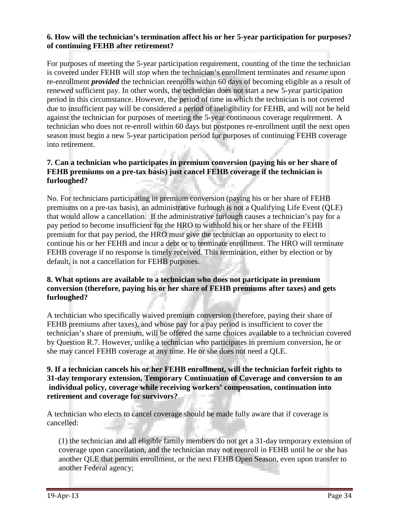### **6. How will the technician's termination affect his or her 5-year participation for purposes? of continuing FEHB after retirement?**

For purposes of meeting the 5-year participation requirement, counting of the time the technician is covered under FEHB will *stop* when the technician's enrollment terminates and *resume* upon re-enrollment *provided* the technician reenrolls within 60 days of becoming eligible as a result of renewed sufficient pay. In other words, the technician does not start a new 5-year participation period in this circumstance. However, the period of time in which the technician is not covered due to insufficient pay will be considered a period of ineligibility for FEHB, and will not be held against the technician for purposes of meeting the 5-year continuous coverage requirement. A technician who does not re-enroll within 60 days but postpones re-enrollment until the next open season must begin a new 5-year participation period for purposes of continuing FEHB coverage into retirement.

# **7. Can a technician who participates in premium conversion (paying his or her share of FEHB premiums on a pre-tax basis) just cancel FEHB coverage if the technician is furloughed?**

No. For technicians participating in premium conversion (paying his or her share of FEHB premiums on a pre-tax basis), an administrative furlough is not a Qualifying Life Event (QLE) that would allow a cancellation. If the administrative furlough causes a technician's pay for a pay period to become insufficient for the HRO to withhold his or her share of the FEHB premium for that pay period, the HRO must give the technician an opportunity to elect to continue his or her FEHB and incur a debt or to terminate enrollment. The HRO will terminate FEHB coverage if no response is timely received. This termination, either by election or by default, is not a cancellation for FEHB purposes.

### **8. What options are available to a technician who does not participate in premium conversion (therefore, paying his or her share of FEHB premiums after taxes) and gets furloughed?**

A technician who specifically waived premium conversion (therefore, paying their share of FEHB premiums after taxes), and whose pay for a pay period is insufficient to cover the technician's share of premium, will be offered the same choices available to a technician covered by Question R.7. However, unlike a technician who participates in premium conversion, he or she may cancel FEHB coverage at any time. He or she does not need a QLE.

#### **9. If a technician cancels his or her FEHB enrollment, will the technician forfeit rights to 31-day temporary extension, Temporary Continuation of Coverage and conversion to an individual policy, coverage while receiving workers' compensation, continuation into retirement and coverage for survivors?**

A technician who elects to cancel coverage should be made fully aware that if coverage is cancelled:

(1) the technician and all eligible family members do not get a 31-day temporary extension of coverage upon cancellation, and the technician may not reenroll in FEHB until he or she has another QLE that permits enrollment, or the next FEHB Open Season, even upon transfer to another Federal agency;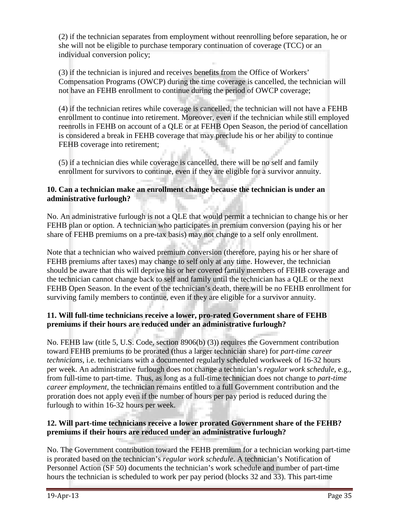(2) if the technician separates from employment without reenrolling before separation, he or she will not be eligible to purchase temporary continuation of coverage (TCC) or an individual conversion policy;

(3) if the technician is injured and receives benefits from the Office of Workers' Compensation Programs (OWCP) during the time coverage is cancelled, the technician will not have an FEHB enrollment to continue during the period of OWCP coverage;

(4) if the technician retires while coverage is cancelled, the technician will not have a FEHB enrollment to continue into retirement. Moreover, even if the technician while still employed reenrolls in FEHB on account of a QLE or at FEHB Open Season, the period of cancellation is considered a break in FEHB coverage that may preclude his or her ability to continue FEHB coverage into retirement;

(5) if a technician dies while coverage is cancelled, there will be no self and family enrollment for survivors to continue, even if they are eligible for a survivor annuity.

### **10. Can a technician make an enrollment change because the technician is under an administrative furlough?**

No. An administrative furlough is not a QLE that would permit a technician to change his or her FEHB plan or option. A technician who participates in premium conversion (paying his or her share of FEHB premiums on a pre-tax basis) may not change to a self only enrollment.

Note that a technician who waived premium conversion (therefore, paying his or her share of FEHB premiums after taxes) may change to self only at any time. However, the technician should be aware that this will deprive his or her covered family members of FEHB coverage and the technician cannot change back to self and family until the technician has a QLE or the next FEHB Open Season. In the event of the technician's death, there will be no FEHB enrollment for surviving family members to continue, even if they are eligible for a survivor annuity.

# **11. Will full-time technicians receive a lower, pro-rated Government share of FEHB premiums if their hours are reduced under an administrative furlough?**

No. FEHB law (title 5, U.S. Code, section 8906(b) (3)) requires the Government contribution toward FEHB premiums to be prorated (thus a larger technician share) for *part-time career technicians*, i.e. technicians with a documented regularly scheduled workweek of 16-32 hours per week. An administrative furlough does not change a technician's *regular work schedule*, e.g., from full-time to part-time. Thus, as long as a full-time technician does not change to *part-time career employment*, the technician remains entitled to a full Government contribution and the proration does not apply even if the number of hours per pay period is reduced during the furlough to within 16-32 hours per week.

# **12. Will part-time technicians receive a lower prorated Government share of the FEHB? premiums if their hours are reduced under an administrative furlough?**

No. The Government contribution toward the FEHB premium for a technician working part-time is prorated based on the technician's *regular work schedule*. A technician's Notification of Personnel Action (SF 50) documents the technician's work schedule and number of part-time hours the technician is scheduled to work per pay period (blocks 32 and 33). This part-time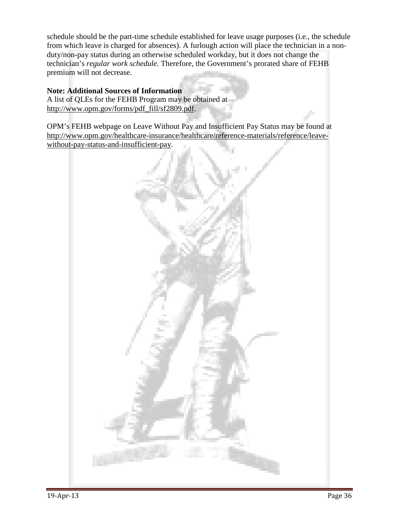schedule should be the part-time schedule established for leave usage purposes (i.e., the schedule from which leave is charged for absences). A furlough action will place the technician in a nonduty/non-pay status during an otherwise scheduled workday, but it does not change the technician's *regular work schedule.* Therefore, the Government's prorated share of FEHB premium will not decrease.

#### **Note: Additional Sources of Information**

A list of QLEs for the FEHB Program may be obtained at http://www.opm.gov/forms/pdf\_fill/sf2809.pdf.

OPM's FEHB webpage on Leave Without Pay and Insufficient Pay Status may be found at http://www.opm.gov/healthcare-insurance/healthcare/reference-materials/reference/leavewithout-pay-status-and-insufficient-pay.

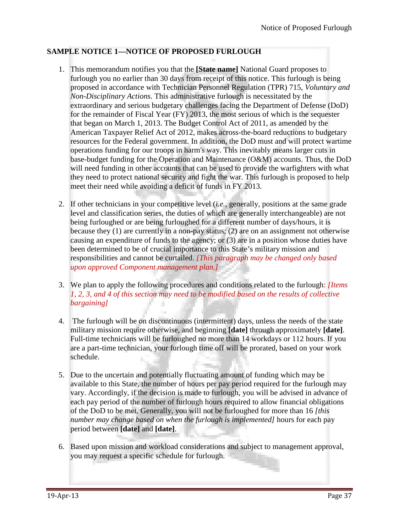# **SAMPLE NOTICE 1—NOTICE OF PROPOSED FURLOUGH**

- 1. This memorandum notifies you that the **[State name]** National Guard proposes to furlough you no earlier than 30 days from receipt of this notice. This furlough is being proposed in accordance with Technician Personnel Regulation (TPR) 715, *Voluntary and Non-Disciplinary Actions*. This administrative furlough is necessitated by the extraordinary and serious budgetary challenges facing the Department of Defense (DoD) for the remainder of Fiscal Year (FY) 2013, the most serious of which is the sequester that began on March 1, 2013. The Budget Control Act of 2011, as amended by the American Taxpayer Relief Act of 2012, makes across-the-board reductions to budgetary resources for the Federal government. In addition, the DoD must and will protect wartime operations funding for our troops in harm's way. This inevitably means larger cuts in base-budget funding for the Operation and Maintenance (O&M) accounts. Thus, the DoD will need funding in other accounts that can be used to provide the warfighters with what they need to protect national security and fight the war. This furlough is proposed to help meet their need while avoiding a deficit of funds in FY 2013.
- 2. If other technicians in your competitive level (*i.e.,* generally, positions at the same grade level and classification series, the duties of which are generally interchangeable) are not being furloughed or are being furloughed for a different number of days/hours, it is because they (1) are currently in a non-pay status; (2) are on an assignment not otherwise causing an expenditure of funds to the agency; or (3) are in a position whose duties have been determined to be of crucial importance to this State's military mission and responsibilities and cannot be curtailed. *[This paragraph may be changed only based upon approved Component management plan.]*
- 3. We plan to apply the following procedures and conditions related to the furlough: *[Items 1, 2, 3, and 4 of this section may need to be modified based on the results of collective bargaining]*
- 4. The furlough will be on discontinuous (intermittent) days, unless the needs of the state military mission require otherwise, and beginning **[date]** through approximately **[date]**. Full-time technicians will be furloughed no more than 14 workdays or 112 hours. If you are a part-time technician, your furlough time off will be prorated, based on your work schedule.
- 5. Due to the uncertain and potentially fluctuating amount of funding which may be available to this State, the number of hours per pay period required for the furlough may vary. Accordingly, if the decision is made to furlough, you will be advised in advance of each pay period of the number of furlough hours required to allow financial obligations of the DoD to be met. Generally, you will not be furloughed for more than 16 *[this number may change based on when the furlough is implemented]* hours for each pay period between **[date]** and **[date]**.
- 6. Based upon mission and workload considerations and subject to management approval, you may request a specific schedule for furlough.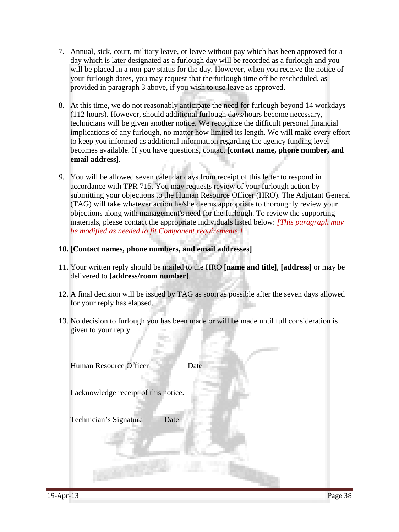- 7. Annual, sick, court, military leave, or leave without pay which has been approved for a day which is later designated as a furlough day will be recorded as a furlough and you will be placed in a non-pay status for the day. However, when you receive the notice of your furlough dates, you may request that the furlough time off be rescheduled, as provided in paragraph 3 above, if you wish to use leave as approved.
- 8. At this time, we do not reasonably anticipate the need for furlough beyond 14 workdays (112 hours). However, should additional furlough days/hours become necessary, technicians will be given another notice. We recognize the difficult personal financial implications of any furlough, no matter how limited its length. We will make every effort to keep you informed as additional information regarding the agency funding level becomes available. If you have questions, contact **[contact name, phone number, and email address]**.
- *9.* You will be allowed seven calendar days from receipt of this letter to respond in accordance with TPR 715. You may requests review of your furlough action by submitting your objections to the Human Resource Officer (HRO). The Adjutant General (TAG) will take whatever action he/she deems appropriate to thoroughly review your objections along with management's need for the furlough. To review the supporting materials, please contact the appropriate individuals listed below: *[This paragraph may be modified as needed to fit Component requirements.]*

### **10. [Contact names, phone numbers, and email addresses]**

- 11. Your written reply should be mailed to the HRO **[name and title]**, **[address]** or may be delivered to **[address/room number]**.
- 12. A final decision will be issued by TAG as soon as possible after the seven days allowed for your reply has elapsed.
- 13. No decision to furlough you has been made or will be made until full consideration is given to your reply.

| Human Resource Officer                | Date |
|---------------------------------------|------|
| I acknowledge receipt of this notice. |      |
| Technician's Signature<br>Date        |      |
|                                       |      |
|                                       |      |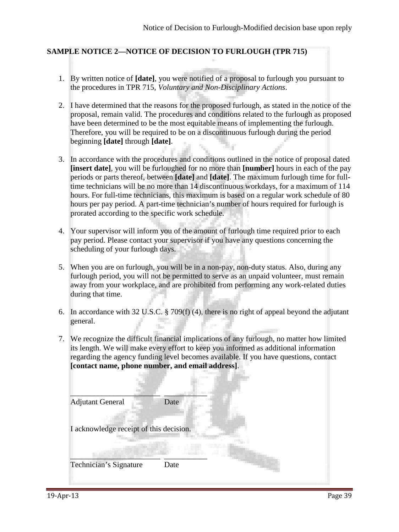# **SAMPLE NOTICE 2—NOTICE OF DECISION TO FURLOUGH (TPR 715)**

- 1. By written notice of **[date]**, you were notified of a proposal to furlough you pursuant to the procedures in TPR 715, *Voluntary and Non-Disciplinary Actions*.
- 2. I have determined that the reasons for the proposed furlough, as stated in the notice of the proposal, remain valid. The procedures and conditions related to the furlough as proposed have been determined to be the most equitable means of implementing the furlough. Therefore, you will be required to be on a discontinuous furlough during the period beginning **[date]** through **[date]**.
- 3. In accordance with the procedures and conditions outlined in the notice of proposal dated **[insert date]**, you will be furloughed for no more than **[number]** hours in each of the pay periods or parts thereof, between **[date]** and **[date]**. The maximum furlough time for fulltime technicians will be no more than 14 discontinuous workdays, for a maximum of 114 hours. For full-time technicians, this maximum is based on a regular work schedule of 80 hours per pay period. A part-time technician's number of hours required for furlough is prorated according to the specific work schedule.
- 4. Your supervisor will inform you of the amount of furlough time required prior to each pay period. Please contact your supervisor if you have any questions concerning the scheduling of your furlough days.
- 5. When you are on furlough, you will be in a non-pay, non-duty status. Also, during any furlough period, you will not be permitted to serve as an unpaid volunteer, must remain away from your workplace, and are prohibited from performing any work-related duties during that time.
- 6. In accordance with 32 U.S.C. § 709(f) (4), there is no right of appeal beyond the adjutant general.
- 7. We recognize the difficult financial implications of any furlough, no matter how limited its length. We will make every effort to keep you informed as additional information regarding the agency funding level becomes available. If you have questions, contact **[contact name, phone number, and email address]**.

| <b>Adjutant General</b>                 | Date |
|-----------------------------------------|------|
| I acknowledge receipt of this decision. |      |
| Technician's Signature                  | Date |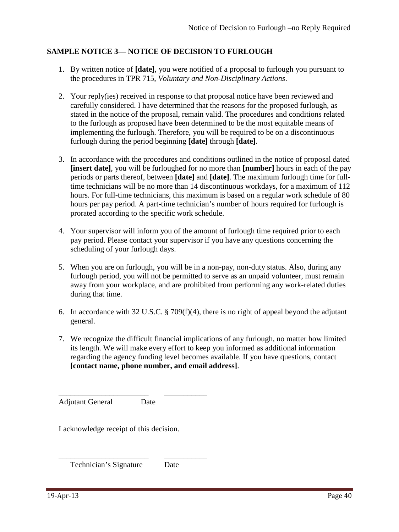# **SAMPLE NOTICE 3— NOTICE OF DECISION TO FURLOUGH**

- 1. By written notice of **[date]**, you were notified of a proposal to furlough you pursuant to the procedures in TPR 715, *Voluntary and Non-Disciplinary Actions*.
- 2. Your reply(ies) received in response to that proposal notice have been reviewed and carefully considered. I have determined that the reasons for the proposed furlough, as stated in the notice of the proposal, remain valid. The procedures and conditions related to the furlough as proposed have been determined to be the most equitable means of implementing the furlough. Therefore, you will be required to be on a discontinuous furlough during the period beginning **[date]** through **[date]**.
- 3. In accordance with the procedures and conditions outlined in the notice of proposal dated **[insert date]**, you will be furloughed for no more than **[number]** hours in each of the pay periods or parts thereof, between **[date]** and **[date]**. The maximum furlough time for fulltime technicians will be no more than 14 discontinuous workdays, for a maximum of 112 hours. For full-time technicians, this maximum is based on a regular work schedule of 80 hours per pay period. A part-time technician's number of hours required for furlough is prorated according to the specific work schedule.
- 4. Your supervisor will inform you of the amount of furlough time required prior to each pay period. Please contact your supervisor if you have any questions concerning the scheduling of your furlough days.
- 5. When you are on furlough, you will be in a non-pay, non-duty status. Also, during any furlough period, you will not be permitted to serve as an unpaid volunteer, must remain away from your workplace, and are prohibited from performing any work-related duties during that time.
- 6. In accordance with 32 U.S.C. § 709(f)(4), there is no right of appeal beyond the adjutant general.
- 7. We recognize the difficult financial implications of any furlough, no matter how limited its length. We will make every effort to keep you informed as additional information regarding the agency funding level becomes available. If you have questions, contact **[contact name, phone number, and email address]**.

\_\_\_\_\_\_\_\_\_\_\_\_\_\_\_\_\_\_\_\_\_\_\_ \_\_\_\_\_\_\_\_\_\_\_ Adjutant General Date

I acknowledge receipt of this decision.

\_\_\_\_\_\_\_\_\_\_\_\_\_\_\_\_\_\_\_\_\_\_\_ \_\_\_\_\_\_\_\_\_\_\_ Technician's Signature Date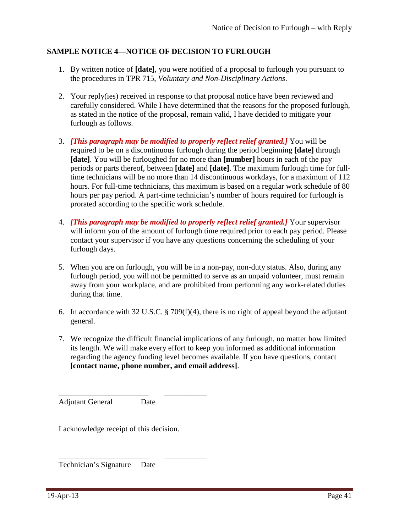# **SAMPLE NOTICE 4—NOTICE OF DECISION TO FURLOUGH**

- 1. By written notice of **[date]**, you were notified of a proposal to furlough you pursuant to the procedures in TPR 715, *Voluntary and Non-Disciplinary Actions*.
- 2. Your reply(ies) received in response to that proposal notice have been reviewed and carefully considered. While I have determined that the reasons for the proposed furlough, as stated in the notice of the proposal, remain valid, I have decided to mitigate your furlough as follows.
- 3. *[This paragraph may be modified to properly reflect relief granted.]* You will be required to be on a discontinuous furlough during the period beginning **[date]** through **[date]**. You will be furloughed for no more than **[number]** hours in each of the pay periods or parts thereof, between **[date]** and **[date]**. The maximum furlough time for fulltime technicians will be no more than 14 discontinuous workdays, for a maximum of 112 hours. For full-time technicians, this maximum is based on a regular work schedule of 80 hours per pay period. A part-time technician's number of hours required for furlough is prorated according to the specific work schedule.
- 4. *[This paragraph may be modified to properly reflect relief granted.]* Your supervisor will inform you of the amount of furlough time required prior to each pay period. Please contact your supervisor if you have any questions concerning the scheduling of your furlough days.
- 5. When you are on furlough, you will be in a non-pay, non-duty status. Also, during any furlough period, you will not be permitted to serve as an unpaid volunteer, must remain away from your workplace, and are prohibited from performing any work-related duties during that time.
- 6. In accordance with 32 U.S.C. § 709(f)(4), there is no right of appeal beyond the adjutant general.
- 7. We recognize the difficult financial implications of any furlough, no matter how limited its length. We will make every effort to keep you informed as additional information regarding the agency funding level becomes available. If you have questions, contact **[contact name, phone number, and email address]**.

\_\_\_\_\_\_\_\_\_\_\_\_\_\_\_\_\_\_\_\_\_\_\_ \_\_\_\_\_\_\_\_\_\_\_ Adjutant General Date

I acknowledge receipt of this decision.

\_\_\_\_\_\_\_\_\_\_\_\_\_\_\_\_\_\_\_\_\_\_\_ \_\_\_\_\_\_\_\_\_\_\_ Technician's Signature Date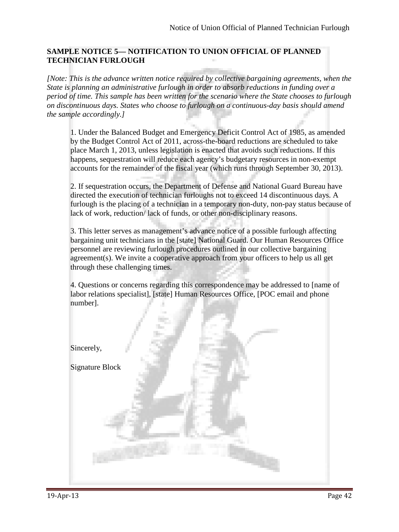# **SAMPLE NOTICE 5— NOTIFICATION TO UNION OFFICIAL OF PLANNED TECHNICIAN FURLOUGH**

*[Note: This is the advance written notice required by collective bargaining agreements, when the State is planning an administrative furlough in order to absorb reductions in funding over a period of time. This sample has been written for the scenario where the State chooses to furlough on discontinuous days. States who choose to furlough on a continuous-day basis should amend the sample accordingly.]* 

1. Under the Balanced Budget and Emergency Deficit Control Act of 1985, as amended by the Budget Control Act of 2011, across-the-board reductions are scheduled to take place March 1, 2013, unless legislation is enacted that avoids such reductions. If this happens, sequestration will reduce each agency's budgetary resources in non-exempt accounts for the remainder of the fiscal year (which runs through September 30, 2013).

2. If sequestration occurs, the Department of Defense and National Guard Bureau have directed the execution of technician furloughs not to exceed 14 discontinuous days. A furlough is the placing of a technician in a temporary non-duty, non-pay status because of lack of work, reduction/ lack of funds, or other non-disciplinary reasons.

3. This letter serves as management's advance notice of a possible furlough affecting bargaining unit technicians in the [state] National Guard. Our Human Resources Office personnel are reviewing furlough procedures outlined in our collective bargaining agreement(s). We invite a cooperative approach from your officers to help us all get through these challenging times.

4. Questions or concerns regarding this correspondence may be addressed to [name of labor relations specialist], [state] Human Resources Office, [POC email and phone number].